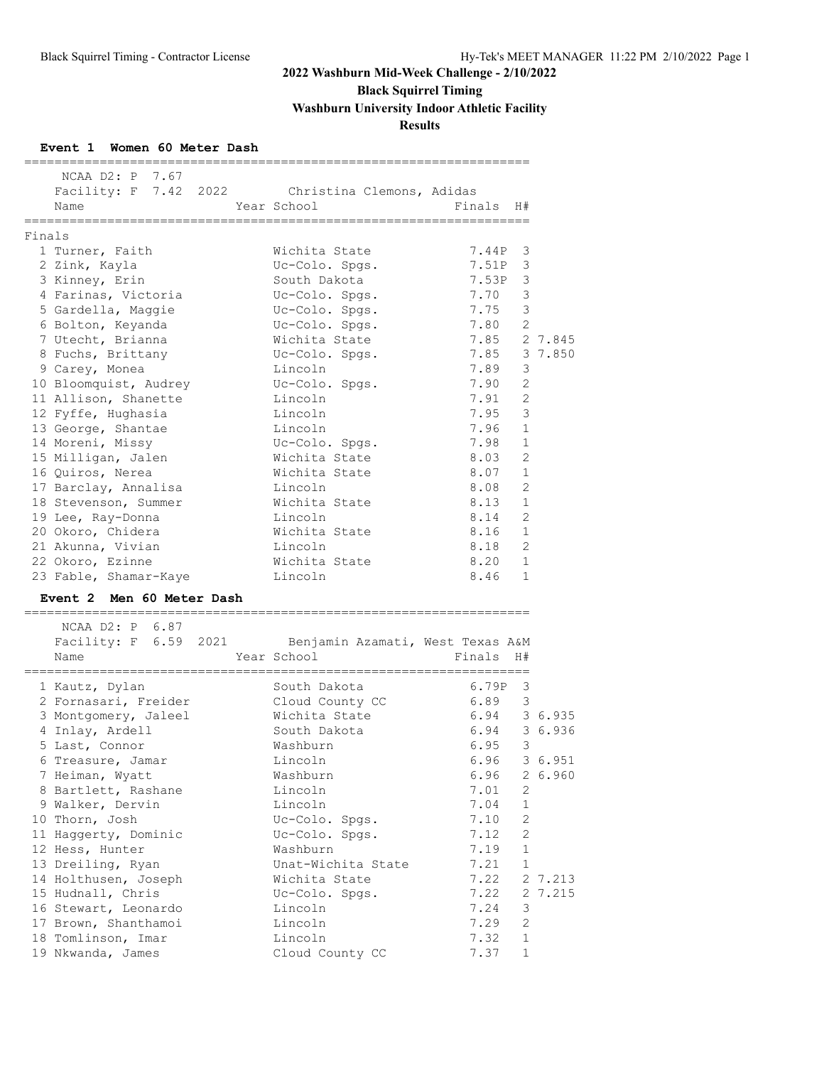**Black Squirrel Timing**

**Washburn University Indoor Athletic Facility**

**Results**

### **Event 1 Women 60 Meter Dash**

|        | NCAA D2: P 7.67<br>Name                         | Facility: F 7.42 2022 Christina Clemons, Adidas<br>Year School        | Finals | H#             |              |
|--------|-------------------------------------------------|-----------------------------------------------------------------------|--------|----------------|--------------|
| Finals |                                                 |                                                                       |        |                |              |
|        | 1 Turner, Faith                                 | Wichita State                                                         | 7.44P  | 3              |              |
|        | 2 Zink, Kayla                                   | Uc-Colo. Spgs.                                                        | 7.51P  | 3              |              |
|        | 3 Kinney, Erin                                  | South Dakota                                                          | 7.53P  | 3              |              |
|        | 4 Farinas, Victoria                             | Uc-Colo. Spgs.                                                        | 7.70   | 3              |              |
|        | 5 Gardella, Maggie                              | Uc-Colo. Spgs.                                                        | 7.75   | 3              |              |
|        | 6 Bolton, Keyanda                               | Uc-Colo. Spgs.                                                        | 7.80   | $\overline{2}$ |              |
|        | 7 Utecht, Brianna                               | Wichita State                                                         | 7.85   |                | 2 7.845      |
|        | 8 Fuchs, Brittany                               | Uc-Colo. Spgs.                                                        | 7.85   |                | 3 7.850      |
|        | 9 Carey, Monea                                  | Lincoln                                                               | 7.89   | 3              |              |
|        | 10 Bloomquist, Audrey                           | Uc-Colo. Spgs.                                                        | 7.90   | 2              |              |
|        | 11 Allison, Shanette                            | Lincoln                                                               | 7.91   | 2              |              |
|        | 12 Fyffe, Hughasia                              | Lincoln                                                               | 7.95   | 3              |              |
|        | 13 George, Shantae                              | Lincoln                                                               | 7.96   | $\mathbf{1}$   |              |
|        | 14 Moreni, Missy                                | Uc-Colo. Spgs.                                                        | 7.98   | $\mathbf 1$    |              |
|        | 15 Milligan, Jalen                              | Wichita State                                                         | 8.03   | 2              |              |
|        | 16 Quiros, Nerea                                | Wichita State                                                         | 8.07   | 1              |              |
|        | 17 Barclay, Annalisa                            | Lincoln                                                               | 8.08   | 2              |              |
|        | 18 Stevenson, Summer                            | Wichita State                                                         | 8.13   | $\mathbf{1}$   |              |
|        | 19 Lee, Ray-Donna                               | Lincoln                                                               | 8.14   | 2              |              |
|        | 20 Okoro, Chidera                               | Wichita State                                                         | 8.16   | $\mathbf 1$    |              |
|        | 21 Akunna, Vivian                               | Lincoln                                                               | 8.18   | $\mathfrak{D}$ |              |
|        | 22 Okoro, Ezinne                                | Wichita State                                                         | 8.20   | $\mathbf{1}$   |              |
|        | 23 Fable, Shamar-Kaye                           | Lincoln                                                               | 8.46   | $\mathbf{1}$   |              |
|        | Event 2 Men 60 Meter Dash<br>================== |                                                                       |        |                |              |
|        | NCAA D2: P 6.87<br>Name                         | Facility: F 6.59 2021 Benjamin Azamati, West Texas A&M<br>Year School | Finals | H#             |              |
|        | 1 Kautz, Dylan                                  | South Dakota                                                          | 6.79P  | 3              |              |
|        | 2 Fornasari, Freider                            | Cloud County CC                                                       | 6.89   | 3              |              |
|        | 3 Montgomery, Jaleel                            | Wichita State                                                         | 6.94   |                | 3 6.935      |
|        | 4 Inlay, Ardell                                 | South Dakota                                                          | 6.94   |                | 3 6.936      |
|        | 5 Last, Connor                                  | Washburn                                                              | 6.95   | 3              |              |
|        | 6 Treasure, Jamar                               | Lincoln                                                               |        |                | 6.96 3 6.951 |
|        | 7 Heiman, Wyatt                                 | Washburn                                                              | 6.96   |                | 2 6.960      |
|        | 8 Bartlett, Rashane                             | Lincoln                                                               | 7.01   | $\overline{2}$ |              |
|        | 9 Walker, Dervin                                | Lincoln                                                               | 7.04   | 1              |              |
|        | 10 Thorn, Josh                                  | Uc-Colo. Spgs.                                                        | 7.10   | 2              |              |
|        | 11 Haggerty, Dominic                            | Uc-Colo. Spgs.                                                        | 7.12   | 2              |              |
|        | 12 Hess, Hunter                                 | Washburn                                                              | 7.19   | $\mathbf 1$    |              |
|        | 13 Dreiling, Ryan                               | Unat-Wichita State                                                    | 7.21   | $\mathbf{1}$   |              |
|        | 14 Holthusen, Joseph                            | Wichita State                                                         | 7.22   |                | 2 7.213      |
|        | 15 Hudnall, Chris                               | Uc-Colo. Spgs.                                                        | 7.22   |                | 2 7.215      |
|        | 16 Stewart, Leonardo                            | Lincoln                                                               | 7.24   | 3              |              |
|        | 17 Brown, Shanthamoi                            | Lincoln                                                               | 7.29   | 2              |              |
|        | 18 Tomlinson, Imar                              | Lincoln                                                               | 7.32   | 1              |              |
|        | 19 Nkwanda, James                               | Cloud County CC                                                       | 7.37   | $\mathbf 1$    |              |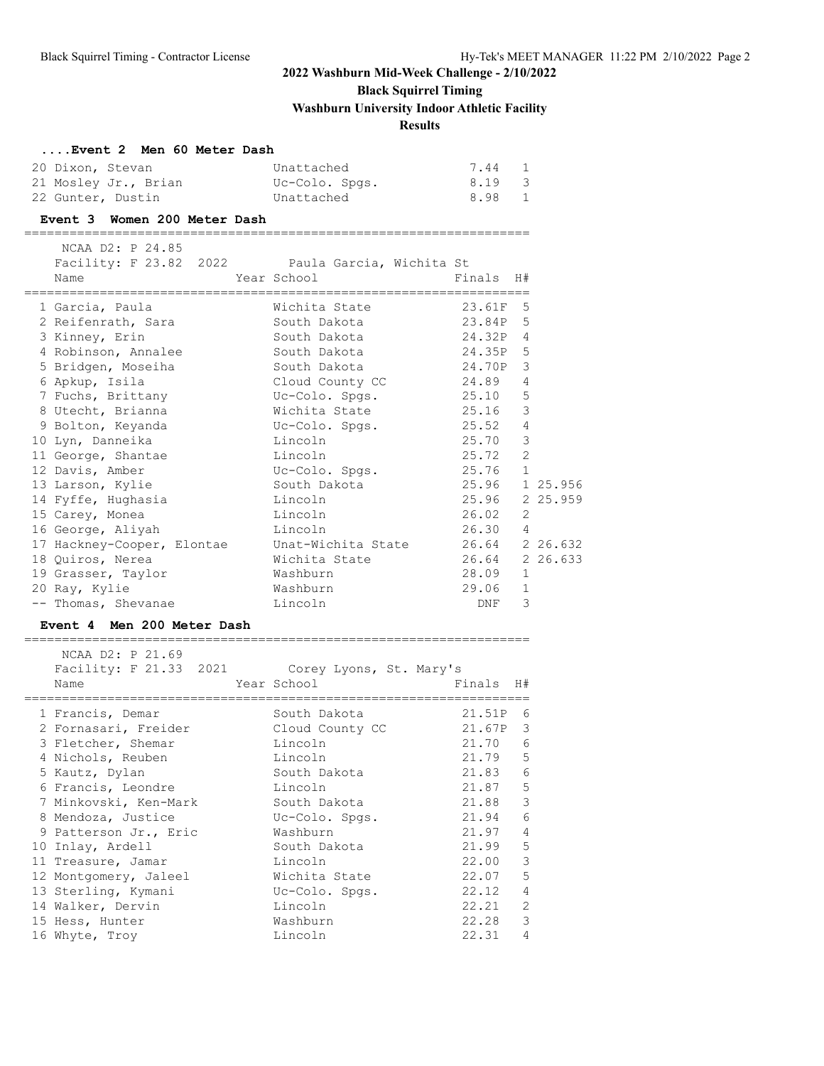# **Black Squirrel Timing**

**Washburn University Indoor Athletic Facility**

### **Results**

### **....Event 2 Men 60 Meter Dash**

| 20 Dixon, Stevan  |                      | Unattached     | 7.44 1 |  |
|-------------------|----------------------|----------------|--------|--|
|                   | 21 Mosley Jr., Brian | Uc-Colo. Spas. | 8.19 3 |  |
| 22 Gunter, Dustin |                      | Unattached     | 8.98 1 |  |

#### **Event 3 Women 200 Meter Dash**

===================================================================

| NCAA D2: P 24.85<br>Facility: F 23.82 2022 Paula Garcia, Wichita St<br>Name | Year School and the Marian School<br>________________________________ | Finals H#      |   |  |
|-----------------------------------------------------------------------------|-----------------------------------------------------------------------|----------------|---|--|
| 1 Garcia, Paula                                                             | Wichita State 23.61F 5                                                |                |   |  |
| 2 Reifenrath, Sara                                                          | South Dakota                                                          | 23.84P 5       |   |  |
| 3 Kinney, Erin                                                              |                                                                       |                |   |  |
| 4 Robinson, Annalee South Dakota                                            |                                                                       | 24.35P 5       |   |  |
| 5 Bridgen, Moseiha                                                          | South Dakota 24.70P 3                                                 |                |   |  |
| 6 Apkup, Isila                                                              | Cloud County CC and 24.89 4                                           |                |   |  |
| 7 Fuchs, Brittany CC-Colo. Spgs. 25.10 5                                    |                                                                       |                |   |  |
| 8 Utecht, Brianna                                                           | Wichita State 25.16 3                                                 |                |   |  |
| 9 Bolton, Keyanda                                                           | Uc-Colo. Spgs. 25.52 4                                                |                |   |  |
| 10 Lyn, Danneika                                                            | Lincoln                                                               | 25.70          | 3 |  |
| 11 George, Shantae                                                          | <u>Lincoln</u>                                                        | $25.72$ 2      |   |  |
| 12 Davis, Amber                                                             | Uc-Colo. Spgs.                                                        | 25.76 1        |   |  |
| 13 Larson, Kylie                                                            | South Dakota                                                          | 25.96 1 25.956 |   |  |
| 14 Fyffe, Hughasia                                                          | Lincoln                                                               | 25.96 2 25.959 |   |  |
| 15 Carey, Monea                                                             | Lincoln                                                               | 26.02          | 2 |  |
| 16 George, Aliyah                                                           | Lincoln                                                               | 26.30 4        |   |  |
| 17 Hackney-Cooper, Elontae Unat-Wichita State 26.64 226.632                 |                                                                       |                |   |  |
| 18 Quiros, Nerea                                                            | Wichita State 26.64 226.633                                           |                |   |  |
| 19 Grasser, Taylor                                                          | Washburn                                                              | 28.09 1        |   |  |
| 20 Ray, Kylie                                                               | Washburn                                                              | 29.06          | 1 |  |
| -- Thomas, Shevanae                                                         | Lincoln                                                               | DNF            | 3 |  |

#### **Event 4 Men 200 Meter Dash**

| NCAA D2: P 21.69<br>Facility: F 21.33 2021<br>Name | Corey Lyons, St. Mary's<br>Year School | Finals | H#              |
|----------------------------------------------------|----------------------------------------|--------|-----------------|
| 1 Francis, Demar                                   | South Dakota                           | 21.51P | 6               |
| 2 Fornasari, Freider                               | Cloud County CC                        | 21.67P | 3               |
| 3 Fletcher, Shemar                                 | Lincoln                                | 21.70  | 6               |
| 4 Nichols, Reuben                                  | Lincoln                                | 21.79  | 5               |
| 5 Kautz, Dylan                                     | South Dakota                           | 21.83  | 6               |
| 6 Francis, Leondre                                 | Lincoln                                | 21.87  | 5               |
| 7 Minkovski, Ken-Mark                              | South Dakota                           | 21.88  | 3               |
| 8 Mendoza, Justice                                 | Uc-Colo. Spgs.                         | 21.94  | $6\overline{6}$ |
| 9 Patterson Jr., Eric                              | Washburn                               | 21.97  | $\overline{4}$  |
| 10 Inlay, Ardell                                   | South Dakota                           | 21.99  | 5               |
| 11 Treasure, Jamar                                 | Lincoln                                | 22.00  | 3               |
| 12 Montgomery, Jaleel                              | Wichita State                          | 22.07  | 5               |
| 13 Sterling, Kymani                                | Uc-Colo. Spgs.                         | 22.12  | $\overline{4}$  |
| 14 Walker, Dervin                                  | Lincoln                                | 22.21  | $\overline{2}$  |
| 15 Hess, Hunter                                    | Washburn                               | 22.28  | 3               |
| 16 Whyte, Troy                                     | Lincoln                                | 22.31  | $\overline{4}$  |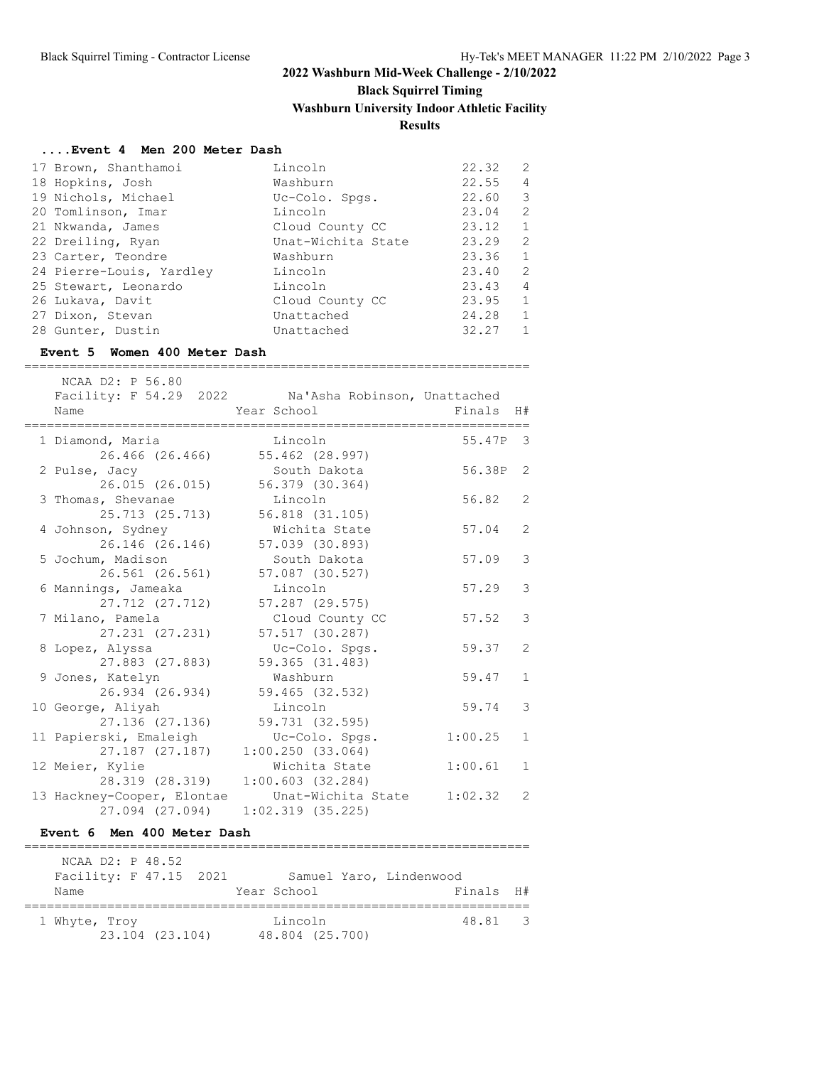# **Black Squirrel Timing**

**Washburn University Indoor Athletic Facility**

### **Results**

### **....Event 4 Men 200 Meter Dash**

| 17 Brown, Shanthamoi     | Lincoln            | 22.32 | 2            |
|--------------------------|--------------------|-------|--------------|
| 18 Hopkins, Josh         | Washburn           | 22.55 | 4            |
| 19 Nichols, Michael      | Uc-Colo. Spgs.     | 22.60 | 3            |
| 20 Tomlinson, Imar       | Lincoln            | 23.04 | 2            |
| 21 Nkwanda, James        | Cloud County CC    | 23.12 | $\mathbf{1}$ |
| 22 Dreiling, Ryan        | Unat-Wichita State | 23.29 | 2            |
| 23 Carter, Teondre       | Washburn           | 23.36 | $\mathbf{1}$ |
| 24 Pierre-Louis, Yardley | Lincoln            | 23.40 | 2            |
| 25 Stewart, Leonardo     | Lincoln            | 23.43 | 4            |
| 26 Lukava, Davit         | Cloud County CC    | 23.95 | 1            |
| 27 Dixon, Stevan         | Unattached         | 24.28 | 1            |
| 28 Gunter, Dustin        | Unattached         | 32.27 | 1            |

#### **Event 5 Women 400 Meter Dash**

| NCAA D2: P 56.80                     | Facility: F 54.29 2022 Na'Asha Robinson, Unattached |          |                |
|--------------------------------------|-----------------------------------------------------|----------|----------------|
| Name                                 | Year School                                         | Finals   | H#             |
| =========<br>1 Diamond, Maria        | Lincoln                                             | 55.47P 3 |                |
| 26.466 (26.466)                      | 55.462 (28.997)                                     |          |                |
| 2 Pulse, Jacy                        | South Dakota                                        | 56.38P   | $\overline{2}$ |
| 26.015 (26.015)                      | 56.379 (30.364)                                     |          |                |
| 3 Thomas, Shevanae                   | Lincoln                                             | 56.82    | 2              |
| 25.713 (25.713)                      | 56.818 (31.105)                                     |          |                |
| 4 Johnson, Sydney                    | Wichita State                                       | 57.04    | $\overline{2}$ |
| 26.146 (26.146)                      | 57.039 (30.893)                                     |          |                |
| 5 Jochum, Madison                    | South Dakota                                        | 57.09    | 3              |
| 26.561 (26.561)                      | 57.087 (30.527)                                     |          |                |
| 6 Mannings, Jameaka                  | Lincoln                                             | 57.29    | 3              |
| 27.712 (27.712)                      | 57.287 (29.575)                                     |          |                |
| 7 Milano, Pamela                     | Cloud County CC                                     | 57.52    | 3              |
| 27.231 (27.231)                      | 57.517 (30.287)                                     |          |                |
| 8 Lopez, Alyssa                      | Uc-Colo. Spgs.                                      | 59.37    | $\overline{2}$ |
| 27.883 (27.883)                      | 59.365 (31.483)                                     |          |                |
| 9 Jones, Katelyn                     | Washburn                                            | 59.47    | $\mathbf{1}$   |
| 26.934 (26.934)                      | 59.465 (32.532)<br>Lincoln                          | 59.74    | 3              |
| 10 George, Aliyah<br>27.136 (27.136) | 59.731 (32.595)                                     |          |                |
| 11 Papierski, Emaleigh               | Uc-Colo. Spgs.                                      | 1:00.25  | $\mathbf{1}$   |
| 27.187 (27.187)                      | 1:00.250(33.064)                                    |          |                |
| 12 Meier, Kylie                      | Wichita State                                       | 1:00.61  | $\mathbf{1}$   |
| 28.319 (28.319)                      | 1:00.603(32.284)                                    |          |                |
| 13 Hackney-Cooper, Elontae           | Unat-Wichita State                                  | 1:02.32  | 2              |
| 27.094 (27.094)                      | 1:02.319(35.225)                                    |          |                |

### **Event 6 Men 400 Meter Dash**

| NCAA D2: P 48.52       |                 |  |                 |                         |  |
|------------------------|-----------------|--|-----------------|-------------------------|--|
| Facility: F 47.15 2021 |                 |  |                 | Samuel Yaro, Lindenwood |  |
| Name                   |                 |  | Year School     | Finals H#               |  |
|                        |                 |  |                 |                         |  |
| 1 Whyte, Troy          |                 |  | Lincoln         | 48.81 3                 |  |
|                        | 23.104 (23.104) |  | 48.804 (25.700) |                         |  |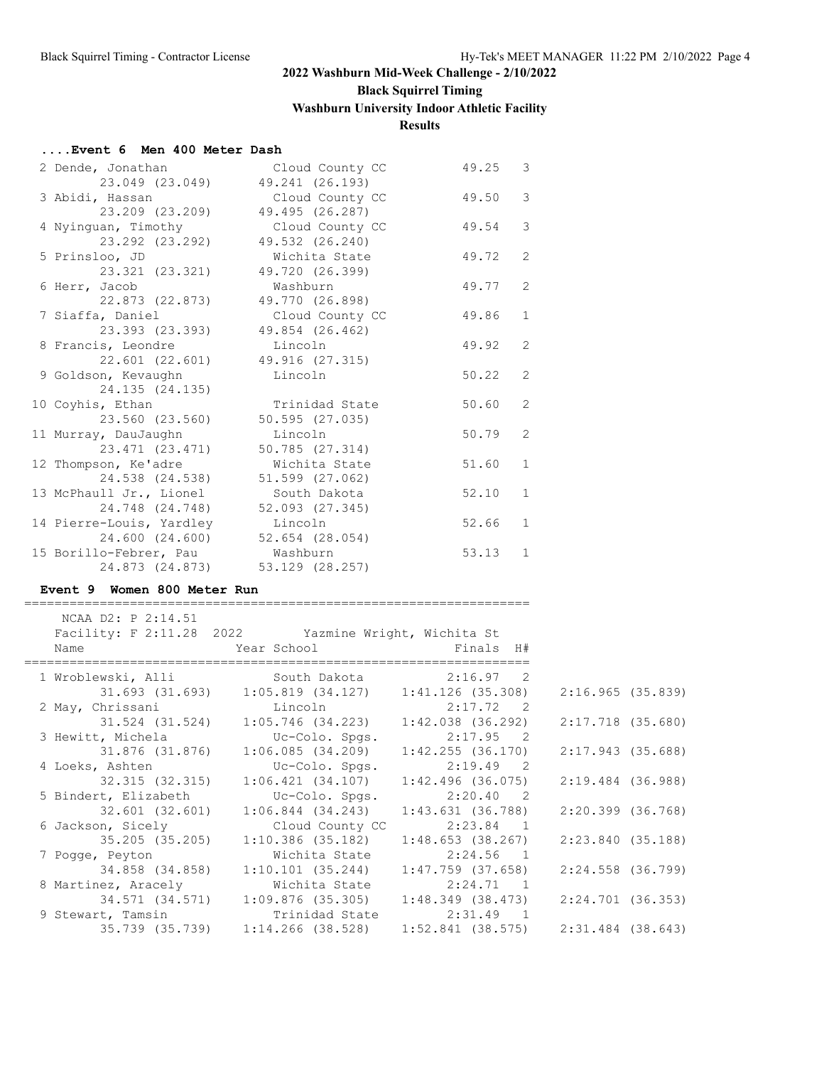# **Black Squirrel Timing**

**Washburn University Indoor Athletic Facility**

**Results**

#### **....Event 6 Men 400 Meter Dash**

| 2 Dende, Jonathan        | Cloud County CC     | 49.25 | 3              |
|--------------------------|---------------------|-------|----------------|
| 23.049 (23.049)          | 49.241 (26.193)     |       |                |
| 3 Abidi, Hassan          | Cloud County CC     | 49.50 | 3              |
| 23.209 (23.209)          | 49.495 (26.287)     |       |                |
| 4 Nyinguan, Timothy      | Cloud County CC     | 49.54 | 3              |
| 23.292 (23.292)          | 49.532 (26.240)     |       |                |
| 5 Prinsloo, JD           | Wichita State       | 49.72 | 2              |
| 23.321 (23.321)          | 49.720 (26.399)     |       |                |
| 6 Herr, Jacob            | Washburn            | 49.77 | $\overline{2}$ |
| 22.873 (22.873)          | 49.770 (26.898)     |       |                |
| 7 Siaffa, Daniel         | Cloud County CC     | 49.86 | $\mathbf{1}$   |
| 23.393 (23.393)          | 49.854 (26.462)     |       |                |
| 8 Francis, Leondre       | Lincoln             | 49.92 | $\overline{2}$ |
| 22.601 (22.601)          | 49.916 (27.315)     |       |                |
| 9 Goldson, Kevaughn      | Lincoln             | 50.22 | 2              |
| 24.135 (24.135)          |                     |       |                |
| 10 Coyhis, Ethan         | Trinidad State      | 50.60 | $\overline{2}$ |
| 23.560 (23.560)          | 50.595(27.035)      |       |                |
| 11 Murray, DauJaughn     | Lincoln             | 50.79 | $\overline{2}$ |
| 23.471 (23.471)          | 50.785(27.314)      |       |                |
| 12 Thompson, Ke'adre     | Wichita State       | 51.60 | $\mathbf{1}$   |
| 24.538 (24.538)          | 51.599 (27.062)     |       |                |
| 13 McPhaull Jr., Lionel  | South Dakota        | 52.10 | $\mathbf{1}$   |
| 24.748 (24.748)          | $52.093$ $(27.345)$ |       |                |
| 14 Pierre-Louis, Yardley | Lincoln             | 52.66 | $\mathbf{1}$   |
| 24.600 (24.600)          | 52.654 (28.054)     |       |                |
| 15 Borillo-Febrer, Pau   | Washburn            | 53.13 | $\mathbf{1}$   |
| 24.873 (24.873)          | 53.129 (28.257)     |       |                |

===================================================================

### **Event 9 Women 800 Meter Run**

| NCAA D2: P 2:14.51   |                                                                                   |                           |                   |
|----------------------|-----------------------------------------------------------------------------------|---------------------------|-------------------|
|                      | Facility: F 2:11.28 2022 Yazmine Wright, Wichita St<br>Name Near School Finals H# |                           |                   |
|                      |                                                                                   | ========================= |                   |
|                      | 1 Wroblewski, Alli South Dakota 2:16.97 2                                         |                           |                   |
|                      |                                                                                   |                           | 2:16.965(35.839)  |
|                      | 2 May, Chrissani       Lincoln           2:17.72   2                              |                           |                   |
|                      | $31.524$ (31.524) $1:05.746$ (34.223) $1:42.038$ (36.292)                         |                           | 2:17.718 (35.680) |
|                      | 3 Hewitt, Michela Colo. Spgs.                                                     | $2:17.95$ 2               |                   |
|                      | 31.876 (31.876)  1:06.085 (34.209)                                                | 1:42.255 (36.170)         | 2:17.943 (35.688) |
| 4 Loeks, Ashten      | Uc-Colo. Spgs. 2:19.49 2                                                          |                           |                   |
| 32.315 (32.315)      | $1:06.421$ (34.107) $1:42.496$ (36.075)                                           |                           | 2:19.484 (36.988) |
| 5 Bindert, Elizabeth | Uc-Colo. Spgs. 2:20.40 2                                                          |                           |                   |
|                      | 32.601 (32.601) 1:06.844 (34.243)                                                 | 1:43.631 (36.788)         | 2:20.399 (36.768) |
|                      | 6 Jackson, Sicely Cloud County CC                                                 | 2:23.84 1                 |                   |
|                      |                                                                                   |                           | 2:23.840 (35.188) |
|                      | 7 Pogge, Peyton Michita State 2:24.56 1                                           |                           |                   |
|                      |                                                                                   |                           | 2:24.558 (36.799) |
|                      | 8 Martinez, Aracely 6 Michita State 2:24.71 1                                     |                           |                   |
|                      | 34.571 (34.571) 1:09.876 (35.305) 1:48.349 (38.473) 2:24.701 (36.353)             |                           |                   |
|                      | 9 Stewart, Tamsin Trinidad State 2:31.49 1                                        |                           |                   |
|                      | 35.739 (35.739) 1:14.266 (38.528) 1:52.841 (38.575) 2:31.484 (38.643)             |                           |                   |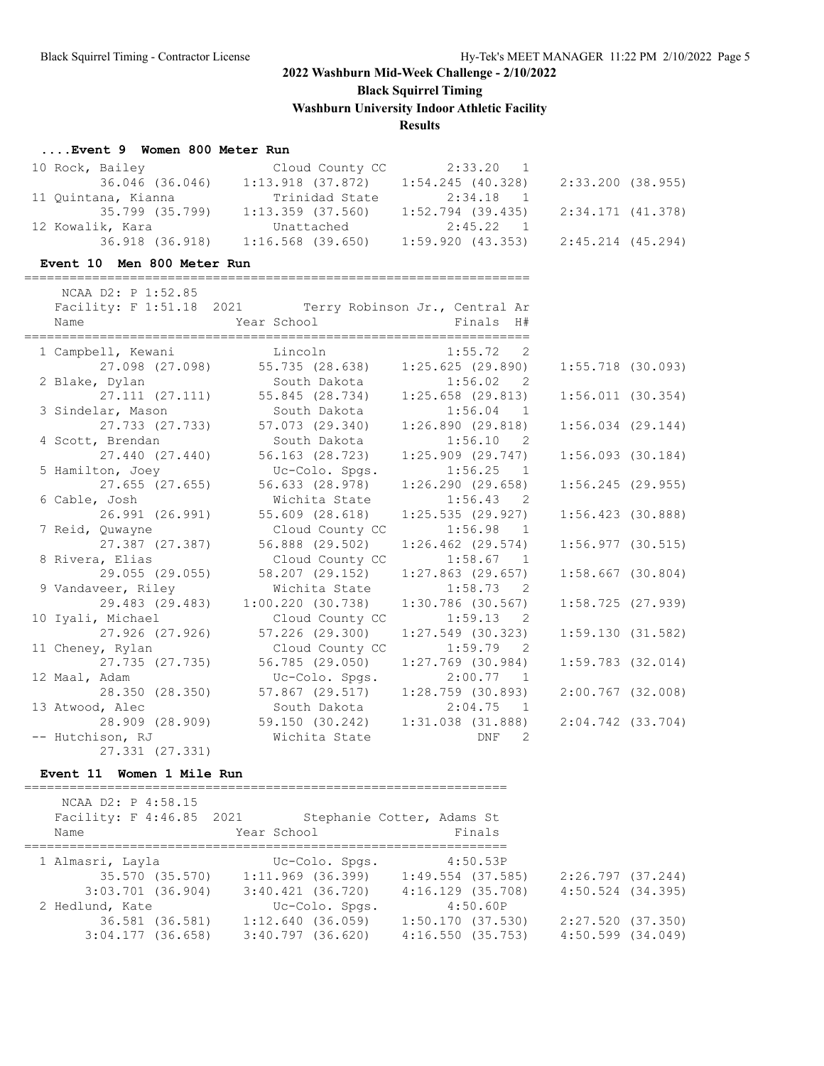**Black Squirrel Timing**

**Washburn University Indoor Athletic Facility**

### **Results**

### **....Event 9 Women 800 Meter Run**

| 10 Rock, Bailey     | Cloud County CC     | 2:33.20 1                               |                   |
|---------------------|---------------------|-----------------------------------------|-------------------|
| 36.046 (36.046)     |                     | $1:13.918$ (37.872) $1:54.245$ (40.328) | 2:33.200 (38.955) |
| 11 Ouintana, Kianna | Trinidad State      | 2:34.18 1                               |                   |
| 35.799 (35.799)     | 1:13.359 (37.560)   | 1:52.794 (39.435)                       | 2:34.171 (41.378) |
| 12 Kowalik, Kara    | Unattached          | 2:45.22 1                               |                   |
| 36.918 (36.918)     | $1:16.568$ (39.650) | 1:59.920 (43.353)                       | 2:45.214 (45.294) |

### **Event 10 Men 800 Meter Run**

===================================================================

| NCAA D2: P 1:52.85                                                          |                                                                              |                                   |                       |
|-----------------------------------------------------------------------------|------------------------------------------------------------------------------|-----------------------------------|-----------------------|
| Facility: F 1:51.18 2021 Terry Robinson Jr., Central Ar<br>Name             |                                                                              |                                   |                       |
|                                                                             |                                                                              |                                   |                       |
| 1 Campbell, Kewani Lincoln 1:55.72 2                                        |                                                                              |                                   |                       |
|                                                                             | 27.098 (27.098) 55.735 (28.638) 1:25.625 (29.890)                            |                                   | $1:55.718$ (30.093)   |
| 2 Blake, Dylan                       South Dakota               1:56.02   2 |                                                                              |                                   |                       |
|                                                                             | 27.111 (27.111) 55.845 (28.734) 1:25.658 (29.813)                            |                                   | 1:56.011(30.354)      |
| 3 Sindelar, Mason South Dakota 1:56.04 1                                    |                                                                              |                                   |                       |
|                                                                             | 27.733 (27.733) 57.073 (29.340) 1:26.890 (29.818)                            |                                   | $1:56.034$ $(29.144)$ |
| 4 Scott, Brendan                                                            | South Dakota 1:56.10 2                                                       |                                   |                       |
|                                                                             | $27.440$ (27.440) 56.163 (28.723)                                            | 1:25.909 (29.747)                 | $1:56.093$ (30.184)   |
| 5 Hamilton, Joey                                                            | Uc-Colo. Spgs.                                                               | $1:56.25$ 1                       |                       |
|                                                                             | 27.655 (27.655) 56.633 (28.978) 1:26.290 (29.658)                            |                                   | $1:56.245$ (29.955)   |
| 6 Cable, Josh                                                               | Wichita State 1:56.43 2                                                      |                                   |                       |
| 26.991 (26.991)                                                             | 55.609 (28.618)                                                              | 1:25.535(29.927)                  | $1:56.423$ (30.888)   |
| 7 Reid, Quwayne                                                             |                                                                              | Cloud County CC 1:56.98 1         |                       |
| 27.387 (27.387)                                                             | 56.888 (29.502)                                                              | 1:26.462 (29.574)                 | $1:56.977$ (30.515)   |
| 8 Rivera, Elias                                                             |                                                                              | Cloud County CC 1:58.67 1         |                       |
|                                                                             | 29.055 (29.055) 58.207 (29.152) 1:27.863 (29.657)<br>Wichita State 1:58.73 2 |                                   | $1:58.667$ (30.804)   |
| 9 Vandaveer, Riley<br>29.483 (29.483)                                       | 1:00.220(30.738)                                                             | $1:30.786$ (30.567)               | $1:58.725$ (27.939)   |
| 10 Iyali, Michael                                                           | Cloud County CC 1:59.13 2                                                    |                                   |                       |
| 27.926 (27.926)                                                             | 57.226 (29.300)                                                              | 1:27.549 (30.323)                 | 1:59.130(31.582)      |
| 11 Cheney, Rylan                                                            | Cloud County CC 1:59.79 2                                                    |                                   |                       |
| 27.735 (27.735)                                                             | 56.785 (29.050)                                                              | $1:27.769$ (30.984)               | $1:59.783$ $(32.014)$ |
| 12 Maal, Adam                                                               | Uc-Colo. Spgs. 2:00.77 1                                                     |                                   |                       |
| 28.350 (28.350)                                                             |                                                                              | 57.867 (29.517) 1:28.759 (30.893) | 2:00.767 (32.008)     |
| 13 Atwood, Alec                                                             | South Dakota 2:04.75 1                                                       |                                   |                       |
|                                                                             | 28.909 (28.909) 59.150 (30.242) 1:31.038 (31.888)                            |                                   | 2:04.742 (33.704)     |
| -- Hutchison, RJ                                                            | Wichita State <b>DNF</b>                                                     | 2                                 |                       |
| 27.331 (27.331)                                                             |                                                                              |                                   |                       |

### **Event 11 Women 1 Mile Run**

| NCAA D2: P 4:58.15               |                       |                                      |                       |
|----------------------------------|-----------------------|--------------------------------------|-----------------------|
| Facility: F 4:46.85 2021<br>Name | Year School           | Stephanie Cotter, Adams St<br>Finals |                       |
|                                  |                       |                                      |                       |
| 1 Almasri, Layla                 | Uc-Colo. Spgs.        | 4:50.53P                             |                       |
| 35.570 (35.570)                  | 1:11.969 (36.399)     | 1:49.554 (37.585)                    | 2:26.797 (37.244)     |
| $3:03.701$ (36.904)              | $3:40.421$ $(36.720)$ | $4:16.129$ $(35.708)$                | 4:50.524 (34.395)     |
| 2 Hedlund, Kate                  | Uc-Colo. Spgs.        | 4:50.60P                             |                       |
| 36.581 (36.581)                  | $1:12.640$ (36.059)   | 1:50.170(37.530)                     | 2:27.520 (37.350)     |
| $3:04.177$ (36.658)              | $3:40.797$ $(36.620)$ | 4:16.550(35.753)                     | $4:50.599$ $(34.049)$ |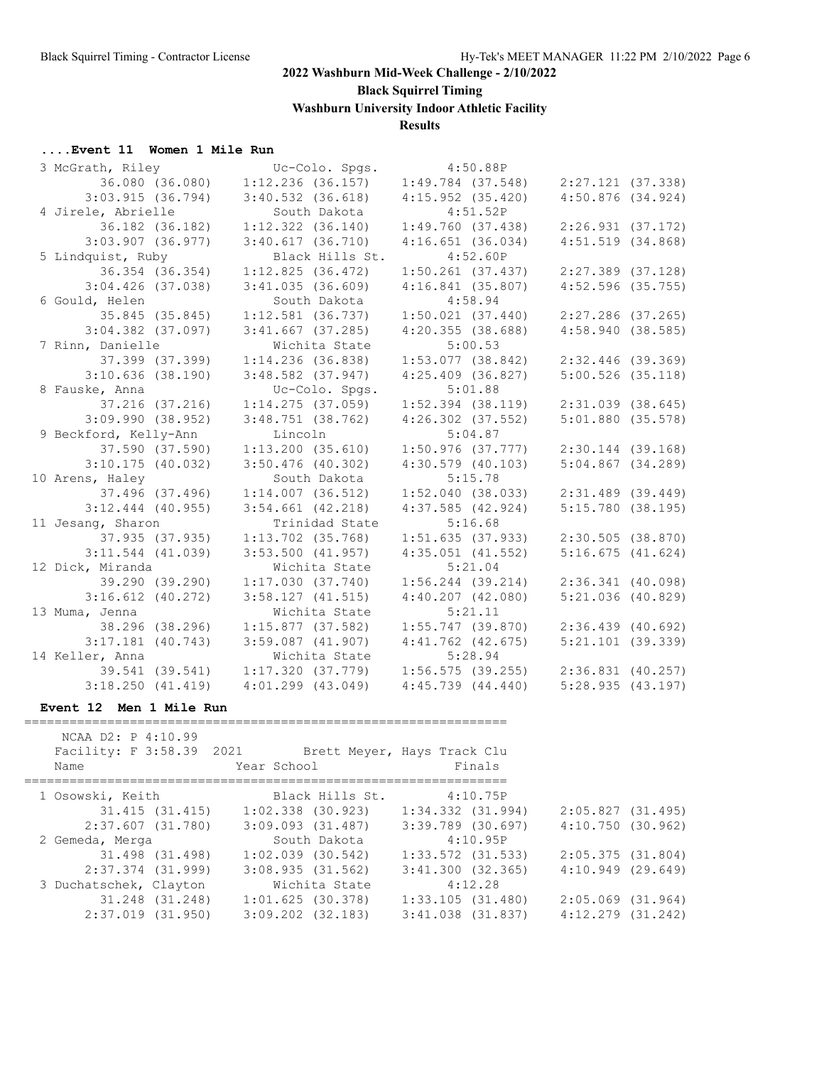**Black Squirrel Timing**

**Washburn University Indoor Athletic Facility**

### **Results**

# **....Event 11 Women 1 Mile Run**<br>3 McGrath Riley

| 3 McGrath, Riley      | Uc-Colo. Spgs.        | 4:50.88P              |                                       |
|-----------------------|-----------------------|-----------------------|---------------------------------------|
| 36.080 (36.080)       | $1:12.236$ (36.157)   | $1:49.784$ (37.548)   | 2:27.121 (37.338)                     |
| 3:03.915(36.794)      | $3:40.532$ $(36.618)$ | 4:15.952(35.420)      | $4:50.876$ $(34.924)$                 |
| 4 Jirele, Abrielle    | South Dakota          | 4:51.52P              |                                       |
| 36.182 (36.182)       | $1:12.322$ $(36.140)$ | 1:49.760(37.438)      | 2:26.931(37.172)                      |
| $3:03.907$ (36.977)   | $3:40.617$ (36.710)   | 4:16.651(36.034)      | $4:51.519$ $(34.868)$                 |
| 5 Lindquist, Ruby     | Black Hills St.       | 4:52.60P              |                                       |
| 36.354 (36.354)       | 1:12.825(36.472)      | $1:50.261$ (37.437)   | 2:27.389 (37.128)                     |
| $3:04.426$ (37.038)   | 3:41.035(36.609)      | 4:16.841(35.807)      | $4:52.596$ (35.755)                   |
| 6 Gould, Helen        | South Dakota          | 4:58.94               |                                       |
| 35.845 (35.845)       | $1:12.581$ (36.737)   | $1:50.021$ $(37.440)$ | 2:27.286 (37.265)                     |
| $3:04.382$ (37.097)   | $3:41.667$ (37.285)   | $4:20.355$ (38.688)   | 4:58.940(38.585)                      |
| 7 Rinn, Danielle      | Wichita State         | 5:00.53               |                                       |
| 37.399 (37.399)       | $1:14.236$ (36.838)   | 1:53.077(38.842)      | 2:32.446 (39.369)                     |
| $3:10.636$ (38.190)   | $3:48.582$ (37.947)   | $4:25.409$ $(36.827)$ | $5:00.526$ (35.118)                   |
| 8 Fauske, Anna        | Uc-Colo. Spgs.        | 5:01.88               |                                       |
| 37.216 (37.216)       | 1:14.275(37.059)      | $1:52.394$ (38.119)   | $2:31.039$ $(38.645)$                 |
| $3:09.990$ $(38.952)$ | $3:48.751$ (38.762)   | $4:26.302$ $(37.552)$ | $5:01.880$ (35.578)                   |
| 9 Beckford, Kelly-Ann | Lincoln               | 5:04.87               |                                       |
| 37.590 (37.590)       | $1:13.200$ (35.610)   | $1:50.976$ (37.777)   | $2:30.144$ (39.168)                   |
| $3:10.175$ (40.032)   | $3:50.476$ (40.302)   | $4:30.579$ (40.103)   | $5:04.867$ $(34.289)$                 |
| 10 Arens, Haley       | South Dakota          | 5:15.78               |                                       |
| 37.496 (37.496)       | $1:14.007$ (36.512)   | 1:52.040(38.033)      | $2:31.489$ (39.449)                   |
| $3:12.444$ (40.955)   | $3:54.661$ $(42.218)$ | $4:37.585$ $(42.924)$ | $5:15.780$ (38.195)                   |
| 11 Jesang, Sharon     | Trinidad State        | 5:16.68               |                                       |
| 37.935 (37.935)       | $1:13.702$ (35.768)   | 1:51.635(37.933)      | $2:30.505$ (38.870)                   |
| $3:11.544$ (41.039)   | $3:53.500$ $(41.957)$ | $4:35.051$ $(41.552)$ | 5:16.675(41.624)                      |
| 12 Dick, Miranda      | Wichita State         | 5:21.04               |                                       |
| 39.290 (39.290)       | 1:17.030(37.740)      | $1:56.244$ (39.214)   | 2:36.341(40.098)                      |
| $3:16.612$ (40.272)   | $3:58.127$ $(41.515)$ | $4:40.207$ $(42.080)$ | $5:21.036$ (40.829)                   |
| 13 Muma, Jenna        | Wichita State         | 5:21.11               |                                       |
| 38.296 (38.296)       | 1:15.877(37.582)      | $1:55.747$ (39.870)   | $2:36.439$ (40.692)                   |
| $3:17.181$ (40.743)   | $3:59.087$ $(41.907)$ | $4:41.762$ $(42.675)$ | $5:21.101$ (39.339)                   |
| 14 Keller, Anna       | Wichita State         | 5:28.94               |                                       |
| 39.541 (39.541)       | 1:17.320(37.779)      |                       | $1:56.575$ (39.255) 2:36.831 (40.257) |
| $3:18.250$ $(41.419)$ | $4:01.299$ $(43.049)$ | $4:45.739$ $(44.440)$ | 5:28.935(43.197)                      |

#### **Event 12 Men 1 Mile Run**

================================================================

| NCAA D2: P 4:10.99<br>Facility: F 3:58.39 2021<br>Name | Year School           | Brett Meyer, Hays Track Clu | Finals                |                       |  |
|--------------------------------------------------------|-----------------------|-----------------------------|-----------------------|-----------------------|--|
| 1 Osowski, Keith                                       |                       | Black Hills St.             | 4:10.75P              |                       |  |
| 31.415 (31.415)                                        | $1:02.338$ (30.923)   |                             | $1:34.332$ $(31.994)$ | 2:05.827 (31.495)     |  |
| $2:37.607$ $(31.780)$                                  | $3:09.093$ $(31.487)$ |                             | 3:39.789 (30.697)     | 4:10.750(30.962)      |  |
| 2 Gemeda, Merga                                        |                       | South Dakota                | 4:10.95P              |                       |  |
| 31.498 (31.498)                                        | $1:02.039$ $(30.542)$ |                             | $1:33.572$ (31.533)   | 2:05.375(31.804)      |  |
| 2:37.374 (31.999)                                      | 3:08.935(31.562)      |                             | 3:41.300(32.365)      | $4:10.949$ $(29.649)$ |  |
| 3 Duchatschek, Clayton                                 |                       | Wichita State               | 4:12.28               |                       |  |
| 31.248 (31.248)                                        | $1:01.625$ (30.378)   |                             | 1:33.105(31.480)      | 2:05.069 (31.964)     |  |
| $2:37.019$ $(31.950)$                                  | $3:09.202$ $(32.183)$ |                             | $3:41.038$ $(31.837)$ | $4:12.279$ $(31.242)$ |  |
|                                                        |                       |                             |                       |                       |  |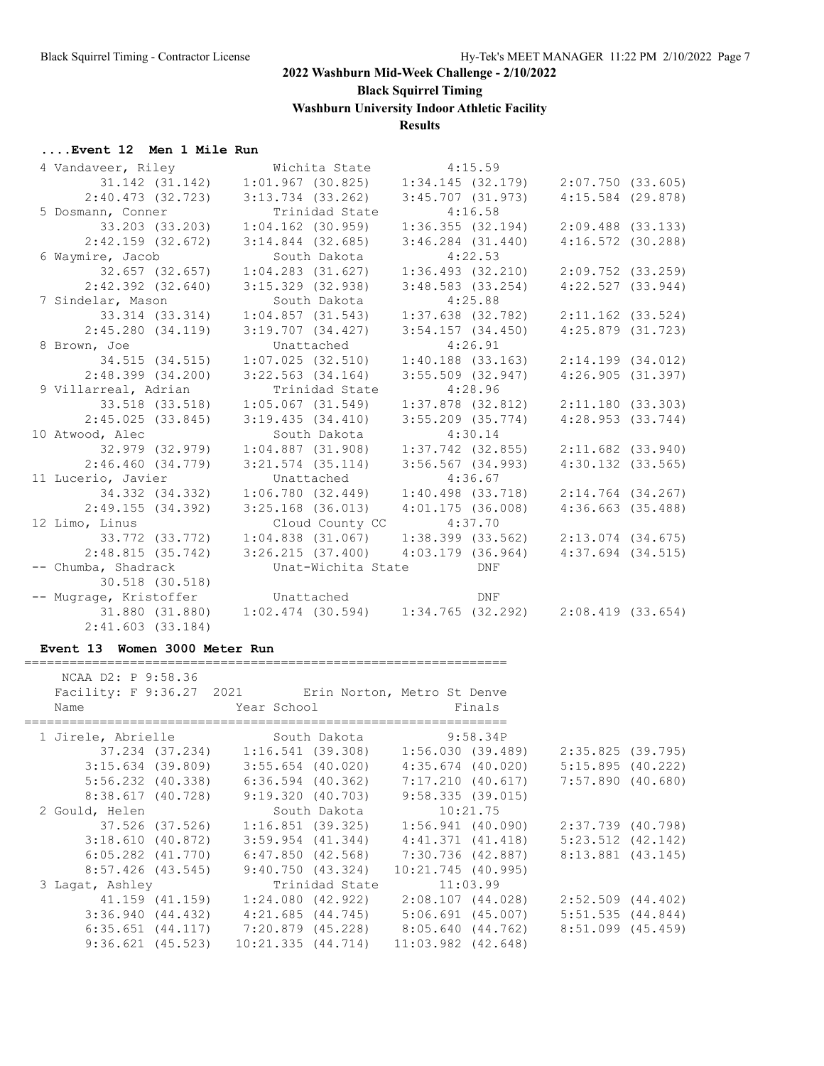**Black Squirrel Timing**

**Washburn University Indoor Athletic Facility**

### **Results**

### **....Event 12 Men 1 Mile Run**

| 4 Vandaveer, Riley     | Wichita State                                                         | 4:15.59               |                       |
|------------------------|-----------------------------------------------------------------------|-----------------------|-----------------------|
| 31.142 (31.142)        | $1:01.967$ (30.825)                                                   | 1:34.145(32.179)      | 2:07.750 (33.605)     |
| 2:40.473 (32.723)      | $3:13.734$ $(33.262)$                                                 | $3:45.707$ $(31.973)$ | $4:15.584$ (29.878)   |
| 5 Dosmann, Conner      | Trinidad State                                                        | 4:16.58               |                       |
| 33.203 (33.203)        | $1:04.162$ (30.959)                                                   | 1:36.355(32.194)      | $2:09.488$ (33.133)   |
| $2:42.159$ (32.672)    | $3:14.844$ (32.685)                                                   | $3:46.284$ $(31.440)$ | $4:16.572$ (30.288)   |
| 6 Waymire, Jacob       | South Dakota                                                          | 4:22.53               |                       |
| 32.657 (32.657)        | $1:04.283$ $(31.627)$                                                 | 1:36.493(32.210)      | $2:09.752$ (33.259)   |
| $2:42.392$ $(32.640)$  | $3:15.329$ $(32.938)$                                                 | $3:48.583$ $(33.254)$ | 4:22.527(33.944)      |
| 7 Sindelar, Mason      | South Dakota                                                          | 4:25.88               |                       |
| 33.314 (33.314)        | 1:04.857(31.543)                                                      | $1:37.638$ (32.782)   | $2:11.162$ (33.524)   |
| 2:45.280(34.119)       | $3:19.707$ $(34.427)$                                                 | 3:54.157(34.450)      | 4:25.879 (31.723)     |
| 8 Brown, Joe           | Unattached                                                            | 4:26.91               |                       |
| 34.515 (34.515)        | $1:07.025$ (32.510)                                                   | $1:40.188$ $(33.163)$ | $2:14.199$ $(34.012)$ |
| 2:48.399(34.200)       | $3:22.563$ $(34.164)$                                                 | $3:55.509$ $(32.947)$ | 4:26.905(31.397)      |
| 9 Villarreal, Adrian   | Trinidad State                                                        | 4:28.96               |                       |
| 33.518 (33.518)        | $1:05.067$ (31.549)                                                   | $1:37.878$ (32.812)   | 2:11.180(33.303)      |
| 2:45.025(33.845)       | 3:19.435(34.410)                                                      | $3:55.209$ $(35.774)$ | 4:28.953(33.744)      |
| 10 Atwood, Alec        | South Dakota                                                          | 4:30.14               |                       |
| 32.979 (32.979)        | $1:04.887$ $(31.908)$                                                 | 1:37.742 (32.855)     | $2:11.682$ $(33.940)$ |
| 2:46.460(34.779)       | $3:21.574$ (35.114)                                                   | $3:56.567$ $(34.993)$ | $4:30.132$ $(33.565)$ |
| 11 Lucerio, Javier     | Unattached                                                            | 4:36.67               |                       |
| 34.332 (34.332)        | 1:06.780(32.449)                                                      | $1:40.498$ $(33.718)$ | $2:14.764$ (34.267)   |
| 2:49.155(34.392)       | $3:25.168$ (36.013)                                                   | 4:01.175(36.008)      | $4:36.663$ (35.488)   |
| 12 Limo, Linus         | Cloud County CC 4:37.70                                               |                       |                       |
| 33.772 (33.772)        | $1:04.838$ (31.067) $1:38.399$ (33.562)                               |                       | $2:13.074$ (34.675)   |
| 2:48.815(35.742)       | $3:26.215$ (37.400) $4:03.179$ (36.964)                               |                       | $4:37.694$ $(34.515)$ |
| -- Chumba, Shadrack    | Unat-Wichita State                                                    | DNF                   |                       |
| 30.518 (30.518)        |                                                                       |                       |                       |
| -- Mugrage, Kristoffer | Unattached                                                            | DNF                   |                       |
|                        | 31.880 (31.880) 1:02.474 (30.594) 1:34.765 (32.292) 2:08.419 (33.654) |                       |                       |
| $2:41.603$ (33.184)    |                                                                       |                       |                       |

#### **Event 13 Women 3000 Meter Run**

================================================================

| NCAA D2: P 9:58.36                                   |                   |                                                           |                                     |                      |          |                       |  |
|------------------------------------------------------|-------------------|-----------------------------------------------------------|-------------------------------------|----------------------|----------|-----------------------|--|
| Facility: F 9:36.27 2021 Erin Norton, Metro St Denve |                   |                                                           |                                     |                      |          |                       |  |
| Name                                                 |                   | Year School                                               |                                     |                      | Finals   |                       |  |
| 1 Jirele, Abrielle                                   |                   |                                                           | South Dakota                        |                      | 9:58.34P |                       |  |
|                                                      |                   |                                                           |                                     | 1:56.030 (39.489)    |          | 2:35.825 (39.795)     |  |
|                                                      | 3:15.634 (39.809) |                                                           | 3:55.654 (40.020)                   | 4:35.674 (40.020)    |          | $5:15.895$ (40.222)   |  |
|                                                      |                   | $5:56.232$ (40.338) 6:36.594 (40.362)                     |                                     | 7:17.210 (40.617)    |          | 7:57.890 (40.680)     |  |
|                                                      | 8:38.617 (40.728) |                                                           | 9:19.320 (40.703)                   | 9:58.335(39.015)     |          |                       |  |
| 2 Gould, Helen                                       |                   |                                                           | South Dakota                        | 10:21.75             |          |                       |  |
|                                                      | 37.526 (37.526)   |                                                           | 1:16.851 (39.325)                   | 1:56.941 (40.090)    |          | 2:37.739 (40.798)     |  |
| 3:18.610(40.872)                                     |                   |                                                           | 3:59.954 (41.344)                   | 4:41.371 (41.418)    |          | $5:23.512$ $(42.142)$ |  |
|                                                      |                   | $6:05.282$ (41.770) $6:47.850$ (42.568) 7:30.736 (42.887) |                                     |                      |          | 8:13.881 (43.145)     |  |
|                                                      |                   | 8:57.426 (43.545) 9:40.750 (43.324)                       |                                     | $10:21.745$ (40.995) |          |                       |  |
| 3 Lagat, Ashley                                      |                   |                                                           | Trinidad State                      | 11:03.99             |          |                       |  |
|                                                      | 41.159 (41.159)   |                                                           | 1:24.080 (42.922)                   | 2:08.107 (44.028)    |          | $2:52.509$ $(44.402)$ |  |
| 3:36.940(44.432)                                     |                   |                                                           | 4:21.685 (44.745) 5:06.691 (45.007) |                      |          | $5:51.535$ $(44.844)$ |  |
|                                                      |                   | $6:35.651$ (44.117) 7:20.879 (45.228) 8:05.640 (44.762)   |                                     |                      |          | 8:51.099 (45.459)     |  |
|                                                      |                   | $9:36.621$ (45.523) 10:21.335 (44.714) 11:03.982 (42.648) |                                     |                      |          |                       |  |
|                                                      |                   |                                                           |                                     |                      |          |                       |  |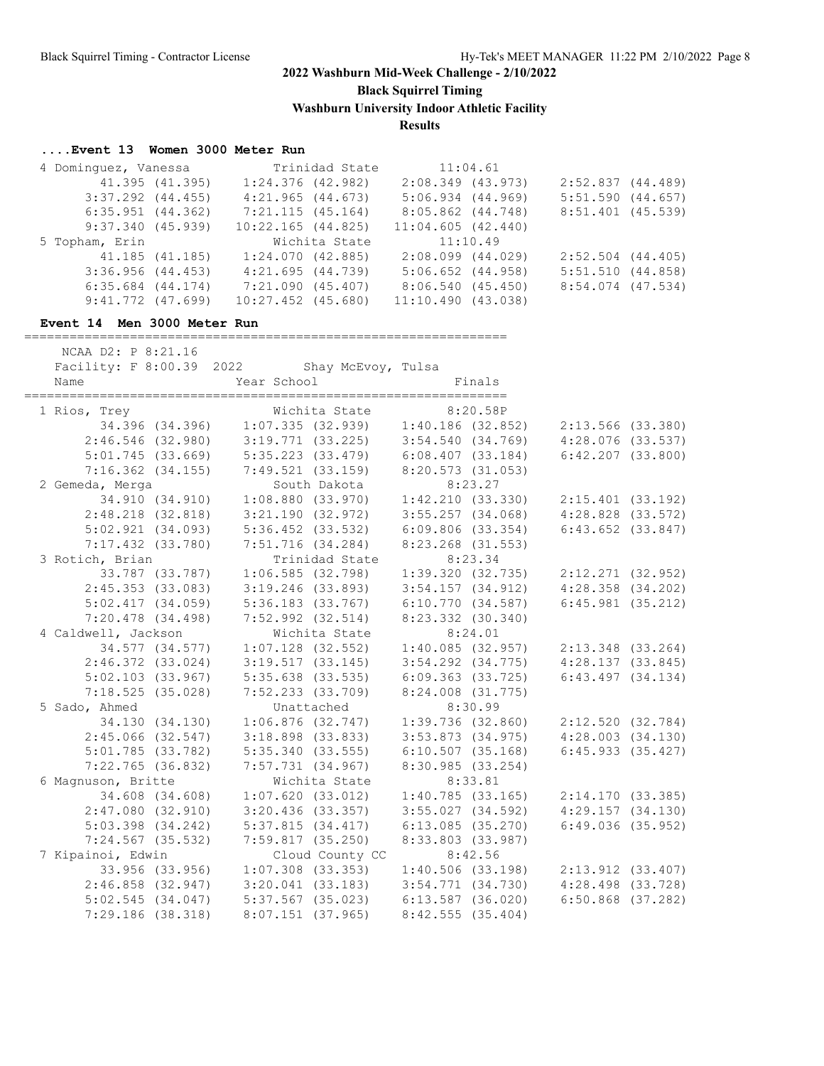**Black Squirrel Timing**

**Washburn University Indoor Athletic Facility**

### **Results**

### **....Event 13 Women 3000 Meter Run**

| 4 Dominquez, Vanessa  |                 | Trinidad State         | 11:04.61              |                       |  |
|-----------------------|-----------------|------------------------|-----------------------|-----------------------|--|
|                       | 41.395 (41.395) | $1:24.376$ (42.982)    | $2:08.349$ (43.973)   | 2:52.837(44.489)      |  |
| $3:37.292$ $(44.455)$ |                 | 4:21.965(44.673)       | $5:06.934$ $(44.969)$ | $5:51.590$ $(44.657)$ |  |
| $6:35.951$ $(44.362)$ |                 | 7:21.115(45.164)       | 8:05.862 (44.748)     | 8:51.401 (45.539)     |  |
| 9:37.340(45.939)      |                 | $10:22.165$ $(44.825)$ | 11:04.605(42.440)     |                       |  |
|                       |                 |                        |                       |                       |  |
| 5 Topham, Erin        |                 | Wichita State          | 11:10.49              |                       |  |
|                       | 41.185 (41.185) | 1:24.070(42.885)       | $2:08.099$ $(44.029)$ | $2:52.504$ $(44.405)$ |  |
| 3:36.956(44.453)      |                 | 4:21.695(44.739)       | $5:06.652$ $(44.958)$ | 5:51.510(44.858)      |  |
| $6:35.684$ $(44.174)$ |                 | 7:21.090 (45.407)      | 8:06.540 (45.450)     | 8:54.074 (47.534)     |  |

### **Event 14 Men 3000 Meter Run**

NCAA D2: P 8:21.16

================================================================

| Facility: F 8:00.39 2022 |                       | Shay McEvoy, Tulsa                      |                       |                                                                       |                       |  |
|--------------------------|-----------------------|-----------------------------------------|-----------------------|-----------------------------------------------------------------------|-----------------------|--|
| 1 Rios, Trey             |                       | Wichita State                           |                       | 8:20.58P                                                              |                       |  |
|                          |                       |                                         |                       | 34.396 (34.396) 1:07.335 (32.939) 1:40.186 (32.852) 2:13.566 (33.380) |                       |  |
| $2:46.546$ (32.980)      |                       | $3:19.771$ (33.225) $3:54.540$ (34.769) |                       |                                                                       | $4:28.076$ (33.537)   |  |
| 5:01.745(33.669)         |                       | $5:35.223$ (33.479) $6:08.407$ (33.184) |                       |                                                                       | $6:42.207$ $(33.800)$ |  |
| $7:16.362$ $(34.155)$    |                       | 7:49.521 (33.159)                       | 8:20.573 (31.053)     |                                                                       |                       |  |
| 2 Gemeda, Merga          |                       | South Dakota                            |                       | 8:23.27                                                               |                       |  |
| 34.910 (34.910)          |                       | $1:08.880$ (33.970) $1:42.210$ (33.330) |                       |                                                                       | $2:15.401$ (33.192)   |  |
| $2:48.218$ $(32.818)$    |                       | $3:21.190$ (32.972) $3:55.257$ (34.068) |                       |                                                                       | $4:28.828$ $(33.572)$ |  |
| 5:02.921(34.093)         | 5:36.452 (33.532)     |                                         | 6:09.806(33.354)      |                                                                       | $6:43.652$ $(33.847)$ |  |
| $7:17.432$ (33.780)      | $7:51.716$ (34.284)   |                                         | 8:23.268 (31.553)     |                                                                       |                       |  |
| 3 Rotich, Brian          |                       | Trinidad State                          |                       | 8:23.34                                                               |                       |  |
| 33.787 (33.787)          | 1:06.585(32.798)      |                                         |                       | $1:39.320$ $(32.735)$ $2:12.271$ $(32.952)$                           |                       |  |
| 2:45.353(33.083)         | $3:19.246$ (33.893)   |                                         | 3:54.157(34.912)      |                                                                       | 4:28.358 (34.202)     |  |
| $5:02.417$ $(34.059)$    | 5:36.183(33.767)      |                                         | 6:10.770(34.587)      |                                                                       | $6:45.981$ (35.212)   |  |
| $7:20.478$ $(34.498)$    | $7:52.992$ $(32.514)$ |                                         | 8:23.332 (30.340)     |                                                                       |                       |  |
| 4 Caldwell, Jackson      |                       | Wichita State                           |                       | 8:24.01                                                               |                       |  |
| 34.577 (34.577)          | $1:07.128$ (32.552)   |                                         |                       | 1:40.085(32.957)                                                      | 2:13.348 (33.264)     |  |
| $2:46.372$ (33.024)      | 3:19.517(33.145)      |                                         | $3:54.292$ $(34.775)$ |                                                                       | 4:28.137(33.845)      |  |
| $5:02.103$ $(33.967)$    | $5:35.638$ $(33.535)$ |                                         | 6:09.363(33.725)      |                                                                       | $6:43.497$ $(34.134)$ |  |
| 7:18.525(35.028)         | $7:52.233$ $(33.709)$ |                                         | $8:24.008$ $(31.775)$ |                                                                       |                       |  |
| 5 Sado, Ahmed            |                       | Unattached                              |                       | 8:30.99                                                               |                       |  |
| 34.130 (34.130)          | $1:06.876$ (32.747)   |                                         |                       | 1:39.736(32.860)                                                      | 2:12.520(32.784)      |  |
| $2:45.066$ (32.547)      | $3:18.898$ $(33.833)$ |                                         | $3:53.873$ $(34.975)$ |                                                                       | 4:28.003(34.130)      |  |
| $5:01.785$ (33.782)      | 5:35.340(33.555)      |                                         | 6:10.507(35.168)      |                                                                       | $6:45.933$ $(35.427)$ |  |
| $7:22.765$ (36.832)      | $7:57.731$ (34.967)   |                                         | 8:30.985(33.254)      |                                                                       |                       |  |
| 6 Magnuson, Britte       |                       | Wichita State                           |                       | 8:33.81                                                               |                       |  |
| 34.608 (34.608)          | 1:07.620(33.012)      |                                         |                       | 1:40.785(33.165)                                                      | 2:14.170 (33.385)     |  |
| 2:47.080(32.910)         | $3:20.436$ (33.357)   |                                         | $3:55.027$ $(34.592)$ |                                                                       | 4:29.157(34.130)      |  |
| $5:03.398$ $(34.242)$    | 5:37.815(34.417)      |                                         | $6:13.085$ (35.270)   |                                                                       | $6:49.036$ (35.952)   |  |
| $7:24.567$ (35.532)      | 7:59.817(35.250)      |                                         | 8:33.803 (33.987)     |                                                                       |                       |  |
| 7 Kipainoi, Edwin        |                       | Cloud County CC                         |                       | 8:42.56                                                               |                       |  |
| 33.956 (33.956)          |                       | $1:07.308$ (33.353)                     |                       | $1:40.506$ (33.198)                                                   | 2:13.912 (33.407)     |  |
| $2:46.858$ (32.947)      |                       | $3:20.041$ (33.183)                     | $3:54.771$ $(34.730)$ |                                                                       | $4:28.498$ $(33.728)$ |  |
| 5:02.545(34.047)         | $5:37.567$ (35.023)   |                                         | $6:13.587$ (36.020)   |                                                                       | $6:50.868$ $(37.282)$ |  |
| 7:29.186(38.318)         | $8:07.151$ (37.965)   |                                         | 8:42.555(35.404)      |                                                                       |                       |  |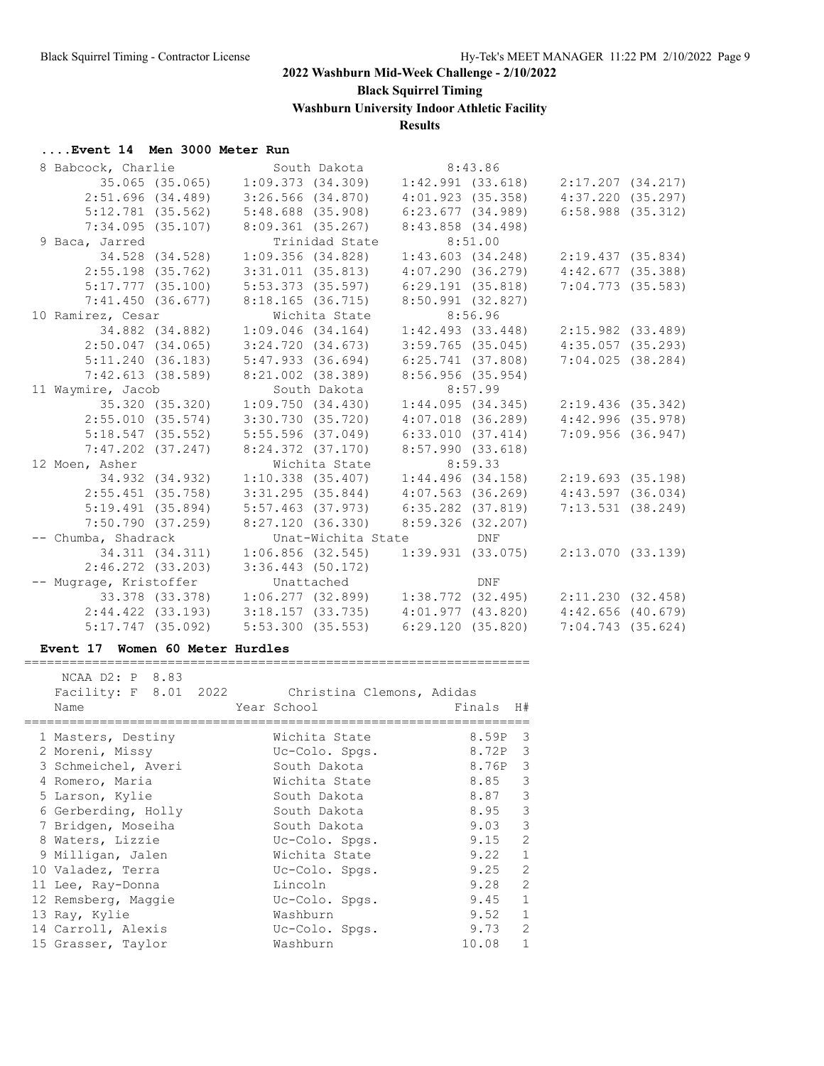**Black Squirrel Timing**

**Washburn University Indoor Athletic Facility**

### **Results**

### **....Event 14 Men 3000 Meter Run**

| 9 Baca, Jarred | 2:51.696(34.489)<br>$5:12.781$ (35.562)<br>7:34.095(35.107)<br>34.528 (34.528)<br>$2:55.198$ (35.762)<br>5:17.777(35.100)<br>7:41.450(36.677)<br>10 Ramirez, Cesar<br>34.882 (34.882)<br>$2:50.047$ $(34.065)$<br>5:11.240(36.183)<br>7:42.613(38.589)<br>11 Waymire, Jacob<br>35.320 (35.320)<br>2:55.010(35.574)<br>5:18.547 (35.552)<br>$7:47.202$ $(37.247)$<br>12 Moen, Asher<br>34.932 (34.932)<br>$2:55.451$ (35.758)<br>5:19.491(35.894)<br>7:50.790(37.259)<br>-- Chumba, Shadrack<br>34.311 (34.311)<br>$2:46.272$ $(33.203)$<br>-- Mugrage, Kristoffer<br>$2:44.422$ $(33.193)$<br>$5:17.747$ (35.092) | 8 Babcock, Charlie | $3:26.566$ (34.870)<br>5:48.688 (35.908)<br>8:09.361(35.267)<br>Trinidad State<br>1:09.356(34.828)<br>$3:31.011$ $(35.813)$<br>5:53.373 (35.597)<br>8:18.165 (36.715)<br>Wichita State<br>$1:09.046$ (34.164)<br>3:24.720(34.673)<br>5:47.933 (36.694)<br>8:21.002 (38.389)<br>South Dakota<br>1:09.750(34.430)<br>3:30.730(35.720)<br>5:55.596 (37.049)<br>Wichita State<br>$1:10.338$ $(35.407)$<br>$3:31.295$ $(35.844)$<br>5:57.463 (37.973)<br>8:27.120(36.330)<br>$3:36.443$ (50.172)<br>5:53.300(35.553) | South Dakota 8:43.86<br>$4:01.923$ (35.358)<br>6:23.677(34.989)<br>8:43.858 (34.498)<br>8:51.00<br>1:43.603(34.248)<br>4:07.290 (36.279)<br>6:29.191(35.818)<br>8:50.991 (32.827)<br>8:56.96<br>1:42.493(33.448)<br>$3:59.765$ (35.045)<br>6:25.741 (37.808)<br>8:56.956(35.954)<br>8:57.99<br>1:44.095(34.345)<br>$4:07.018$ (36.289)<br>6:33.010(37.414)<br>8:24.372 (37.170) 8:57.990 (33.618)<br>8:59.33<br>$1:44.496$ (34.158)<br>$4:07.563$ (36.269)<br>$6:35.282$ $(37.819)$<br>$8:59.326$ (32.207)<br>Unat-Wichita State DNF<br>Unattached DNF<br>6:29.120 (35.820) | 35.065 (35.065) 1:09.373 (34.309) 1:42.991 (33.618) 2:17.207 (34.217)<br>4:37.220 (35.297)<br>$6:58.988$ $(35.312)$<br>2:19.437(35.834)<br>4:42.677(35.388)<br>$7:04.773$ (35.583)<br>$2:15.982$ (33.489)<br>$4:35.057$ (35.293)<br>$7:04.025$ (38.284)<br>2:19.436(35.342)<br>$4:42.996$ (35.978)<br>7:09.956(36.947)<br>2:19.693(35.198)<br>$4:43.597$ $(36.034)$<br>7:13.531(38.249)<br>$1:06.856$ (32.545) $1:39.931$ (33.075) $2:13.070$ (33.139)<br>33.378 (33.378) 1:06.277 (32.899) 1:38.772 (32.495) 2:11.230 (32.458)<br>$3:18.157$ (33.735) $4:01.977$ (43.820) $4:42.656$ (40.679)<br>7:04.743 (35.624) |
|----------------|-------------------------------------------------------------------------------------------------------------------------------------------------------------------------------------------------------------------------------------------------------------------------------------------------------------------------------------------------------------------------------------------------------------------------------------------------------------------------------------------------------------------------------------------------------------------------------------------------------------------|--------------------|-----------------------------------------------------------------------------------------------------------------------------------------------------------------------------------------------------------------------------------------------------------------------------------------------------------------------------------------------------------------------------------------------------------------------------------------------------------------------------------------------------------------|-----------------------------------------------------------------------------------------------------------------------------------------------------------------------------------------------------------------------------------------------------------------------------------------------------------------------------------------------------------------------------------------------------------------------------------------------------------------------------------------------------------------------------------------------------------------------------|---------------------------------------------------------------------------------------------------------------------------------------------------------------------------------------------------------------------------------------------------------------------------------------------------------------------------------------------------------------------------------------------------------------------------------------------------------------------------------------------------------------------------------------------------------------------------------------------------------------------|

#### **Event 17 Women 60 Meter Hurdles**

| NCAA D2: P 8.83<br>Facility: F 8.01 2022 Christina Clemons, Adidas |                |        |                |
|--------------------------------------------------------------------|----------------|--------|----------------|
| Name                                                               | Year School    | Finals | H#             |
| 1 Masters, Destiny                                                 | Wichita State  | 8.59P  | 3              |
| 2 Moreni, Missy                                                    | Uc-Colo. Spgs. | 8.72P  | 3              |
| 3 Schmeichel, Averi                                                | South Dakota   | 8.76P  | -3             |
| 4 Romero, Maria                                                    | Wichita State  | 8.85   | 3              |
| 5 Larson, Kylie                                                    | South Dakota   | 8.87   | 3              |
| 6 Gerberding, Holly                                                | South Dakota   | 8.95   | 3              |
| 7 Bridgen, Moseiha                                                 | South Dakota   | 9.03   | 3              |
| 8 Waters, Lizzie                                                   | Uc-Colo. Spgs. | 9.15   | $\overline{2}$ |
| 9 Milligan, Jalen                                                  | Wichita State  | 9.22   | $\mathbf{1}$   |
| 10 Valadez, Terra                                                  | Uc-Colo. Spgs. | 9.25   | $\overline{2}$ |
| 11 Lee, Ray-Donna                                                  | Lincoln        | 9.28   | $\overline{2}$ |
| 12 Remsberg, Maggie                                                | Uc-Colo. Spgs. | 9.45   | $\mathbf{1}$   |
| 13 Ray, Kylie                                                      | Washburn       | 9.52   | $\mathbf{1}$   |
| 14 Carroll, Alexis                                                 | Uc-Colo. Spgs. | 9.73   | $\overline{2}$ |
| 15 Grasser, Taylor                                                 | Washburn       | 10.08  | $\mathbf{1}$   |

===================================================================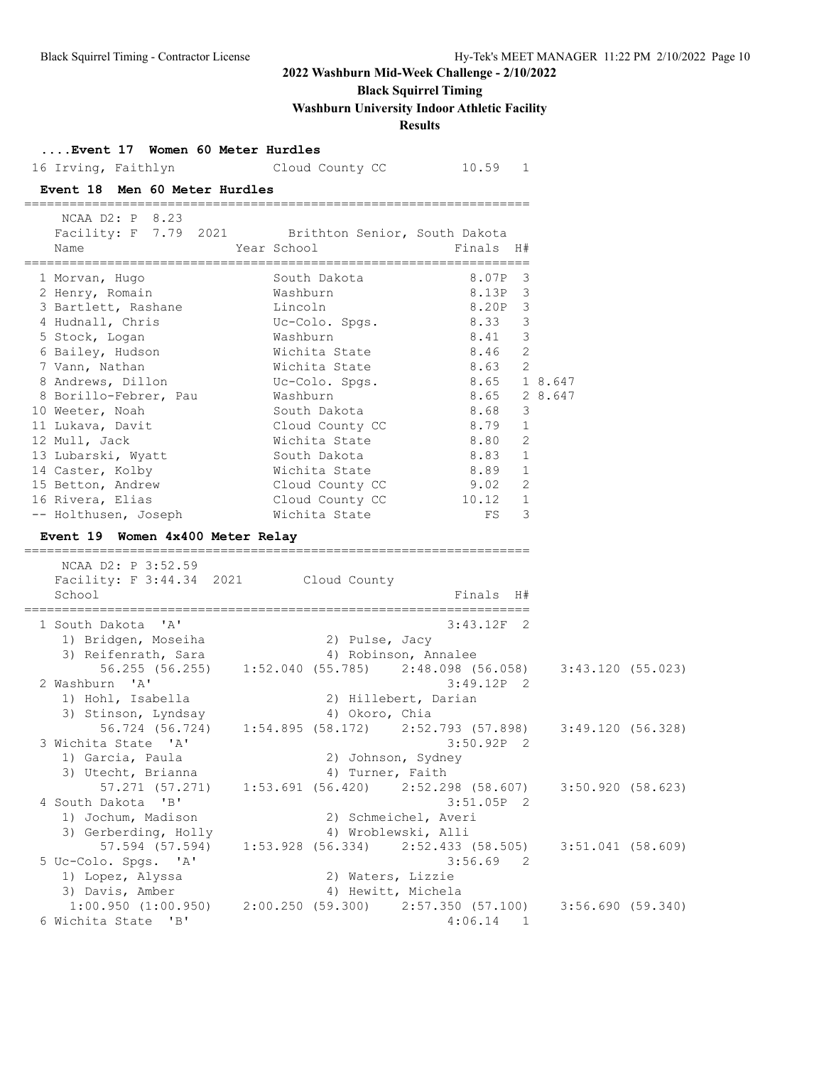# **Black Squirrel Timing**

**Washburn University Indoor Athletic Facility**

### **Results**

| Event 17 Women 60 Meter Hurdles<br>16 Irving, Faithlyn Cloud County CC 10.59 1                                                                                                                                                                                                                                                                                                            |                                                                                                                                                                                                                                                                                                                      |                                                                                                                                                                                                                   |                     |  |
|-------------------------------------------------------------------------------------------------------------------------------------------------------------------------------------------------------------------------------------------------------------------------------------------------------------------------------------------------------------------------------------------|----------------------------------------------------------------------------------------------------------------------------------------------------------------------------------------------------------------------------------------------------------------------------------------------------------------------|-------------------------------------------------------------------------------------------------------------------------------------------------------------------------------------------------------------------|---------------------|--|
| Event 18 Men 60 Meter Hurdles                                                                                                                                                                                                                                                                                                                                                             |                                                                                                                                                                                                                                                                                                                      |                                                                                                                                                                                                                   |                     |  |
| NCAA D2: P 8.23<br>Name                                                                                                                                                                                                                                                                                                                                                                   | Facility: F 7.79 2021 Brithton Senior, South Dakota<br>Year School                                                                                                                                                                                                                                                   | Finals H#                                                                                                                                                                                                         |                     |  |
| 1 Morvan, Hugo<br>2 Henry, Romain<br>3 Bartlett, Rashane<br>4 Hudnall, Chris<br>5 Stock, Logan<br>6 Bailey, Hudson<br>7 Vann, Nathan<br>8 Andrews, Dillon<br>8 Borillo-Febrer, Pau<br>10 Weeter, Noah<br>11 Lukava, Davit<br>12 Mull, Jack<br>13 Lubarski, Wyatt<br>14 Caster, Kolby<br>15 Betton, Andrew<br>16 Rivera, Elias<br>-- Holthusen, Joseph<br>Event 19 Women 4x400 Meter Relay | South Dakota<br>Washburn<br>Lincoln<br>Uc-Colo. Spgs. 8.33<br>Washburn<br>Wichita State<br>Wichita State<br>Uc-Colo. Spgs. 8.65 18.647<br>Washburn<br>South Dakota<br>Cloud County CC<br>Wichita State<br>South Dakota<br>Wichita State 8.89 1<br>Cloud County CC 9.02 2<br>Cloud County CC 10.12 1<br>Wichita State | 8.07P<br>$\overline{\mathbf{3}}$<br>8.13P 3<br>8.20P 3<br>$\overline{\mathbf{3}}$<br>8.41 3<br>8.46<br>2<br>$8.63$ 2<br>8.65 2 8.647<br>8.68<br>$\overline{\mathbf{3}}$<br>8.79 1<br>8.80 2<br>$8.83$ 1<br>$FS$ 3 |                     |  |
| NCAA D2: P 3:52.59<br>Facility: F 3:44.34 2021 Cloud County<br>School                                                                                                                                                                                                                                                                                                                     |                                                                                                                                                                                                                                                                                                                      | Finals H#                                                                                                                                                                                                         |                     |  |
| 1 South Dakota 'A'                                                                                                                                                                                                                                                                                                                                                                        | 1) Bridgen, Moseiha (2) Pulse, Jacy                                                                                                                                                                                                                                                                                  | $3:43.12F$ 2                                                                                                                                                                                                      |                     |  |
| 2 Washburn 'A'                                                                                                                                                                                                                                                                                                                                                                            | 3) Reifenrath, Sara (4) Robinson, Annalee<br>56.255 (56.255) 1:52.040 (55.785) 2:48.098 (56.058) 3:43.120 (55.023)                                                                                                                                                                                                   | $3:49.12P$ 2                                                                                                                                                                                                      |                     |  |
| 1) Hohl, Isabella<br>3) Stinson, Lyndsay<br>3 Wichita State 'A'<br>1) Garcia, Paula                                                                                                                                                                                                                                                                                                       | 2) Hillebert, Darian<br>4) Okoro, Chia<br>56.724 (56.724) 1:54.895 (58.172) 2:52.793 (57.898) 3:49.120 (56.328)<br>2) Johnson, Sydney                                                                                                                                                                                | $3:50.92P$ 2                                                                                                                                                                                                      |                     |  |
| 3) Utecht, Brianna<br>57.271 (57.271)<br>4 South Dakota 'B'                                                                                                                                                                                                                                                                                                                               | 4) Turner, Faith<br>$1:53.691$ (56.420) $2:52.298$ (58.607)                                                                                                                                                                                                                                                          | 3:51.05P 2                                                                                                                                                                                                        | 3:50.920(58.623)    |  |
| 1) Jochum, Madison<br>3) Gerberding, Holly<br>57.594 (57.594)<br>5 Uc-Colo. Spgs. 'A'<br>1) Lopez, Alyssa                                                                                                                                                                                                                                                                                 | 2) Schmeichel, Averi<br>4) Wroblewski, Alli<br>$1:53.928$ (56.334)<br>2) Waters, Lizzie                                                                                                                                                                                                                              | 2:52.433 (58.505)<br>$3:56.69$ 2                                                                                                                                                                                  | $3:51.041$ (58.609) |  |
| 3) Davis, Amber<br>1:00.950(1:00.950)<br>6 Wichita State 'B'                                                                                                                                                                                                                                                                                                                              | 4) Hewitt, Michela<br>$2:00.250$ (59.300) $2:57.350$ (57.100)                                                                                                                                                                                                                                                        | 4:06.14<br>1                                                                                                                                                                                                      | 3:56.690(59.340)    |  |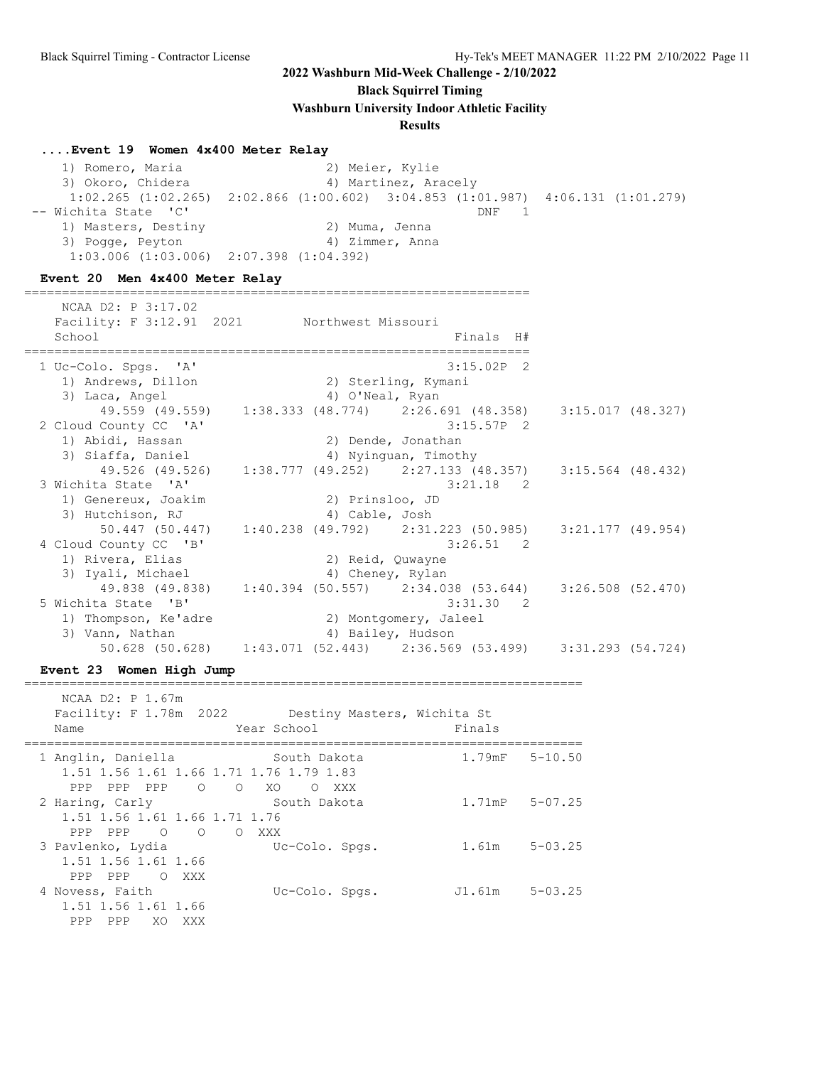**Black Squirrel Timing**

**Washburn University Indoor Athletic Facility**

#### **Results**

#### **....Event 19 Women 4x400 Meter Relay**

 1) Romero, Maria 2) Meier, Kylie 3) Okoro, Chidera (4) Martinez, Aracely 1:02.265 (1:02.265) 2:02.866 (1:00.602) 3:04.853 (1:01.987) 4:06.131 (1:01.279) -- Wichita State 'C' DNF 1 1) Masters, Destiny 2) Muma, Jenna 3) Pogge, Peyton (4) 2immer, Anna 1:03.006 (1:03.006) 2:07.398 (1:04.392)

### **Event 20 Men 4x400 Meter Relay**

| NCAA D2: P 3:17.02<br>Facility: F 3:12.91 2021 Northwest Missouri<br>School |  | Finals H#                                                             |                   |  |
|-----------------------------------------------------------------------------|--|-----------------------------------------------------------------------|-------------------|--|
| 1 Uc-Colo. Spgs. 'A'                                                        |  | $3:15.02P$ 2                                                          |                   |  |
| 1) Andrews, Dillon                                                          |  | 2) Sterling, Kymani                                                   |                   |  |
| 3) Laca, Angel                                                              |  | 4) O'Neal, Ryan                                                       |                   |  |
|                                                                             |  | 49.559 (49.559) 1:38.333 (48.774) 2:26.691 (48.358) 3:15.017 (48.327) |                   |  |
| 2 Cloud County CC 'A'                                                       |  | $3:15.57P$ 2                                                          |                   |  |
| 1) Abidi, Hassan                                                            |  | 2) Dende, Jonathan                                                    |                   |  |
| 3) Siaffa, Daniel                                                           |  | 4) Nyinguan, Timothy                                                  |                   |  |
|                                                                             |  | 49.526 (49.526) 1:38.777 (49.252) 2:27.133 (48.357) 3:15.564 (48.432) |                   |  |
| 3 Wichita State 'A'                                                         |  | $3:21.18$ 2                                                           |                   |  |
| 1) Genereux, Joakim                                                         |  | 2) Prinsloo, JD                                                       |                   |  |
| 3) Hutchison, RJ                                                            |  | 4) Cable, Josh                                                        |                   |  |
|                                                                             |  | 50.447 (50.447) 1:40.238 (49.792) 2:31.223 (50.985) 3:21.177 (49.954) |                   |  |
| 4 Cloud County CC 'B'                                                       |  | $3:26.51$ 2                                                           |                   |  |
| 1) Rivera, Elias                                                            |  | 2) Reid, Quwayne                                                      |                   |  |
| 3) Iyali, Michael                                                           |  | 4) Cheney, Rylan                                                      |                   |  |
|                                                                             |  | 49.838 (49.838) 1:40.394 (50.557) 2:34.038 (53.644)                   | 3:26.508 (52.470) |  |
| 5 Wichita State 'B'                                                         |  | $3:31.30$ 2                                                           |                   |  |
| 1) Thompson, Ke'adre                                                        |  | 2) Montgomery, Jaleel                                                 |                   |  |
| 3) Vann, Nathan                                                             |  | 4) Bailey, Hudson                                                     |                   |  |
|                                                                             |  | 50.628 (50.628) 1:43.071 (52.443) 2:36.569 (53.499) 3:31.293 (54.724) |                   |  |

#### **Event 23 Women High Jump**

==========================================================================

| NCAA D2: P 1.67m<br>Name                                                                           | Facility: F 1.78m 2022 Destiny Masters, Wichita St<br>Year School | Finals              |             |
|----------------------------------------------------------------------------------------------------|-------------------------------------------------------------------|---------------------|-------------|
| 1 Anglin, Daniella<br>1.51 1.56 1.61 1.66 1.71 1.76 1.79 1.83<br>PPP PPP<br>$\overline{O}$<br>PPP. | South Dakota<br>$\overline{O}$<br>XO.<br>XXX<br>$\circ$           | $1.79$ mF $5-10.50$ |             |
| 2 Haring, Carly<br>1.51 1.56 1.61 1.66 1.71 1.76<br>PPP PPP O<br>$\bigcirc$                        | South Dakota<br>O XXX                                             | $1.71$ mP $5-07.25$ |             |
| 3 Pavlenko, Lydia<br>1.51 1.56 1.61 1.66<br>PPP<br>PPP.<br>O XXX                                   | Uc-Colo. Spgs.                                                    | 1.61m               | $5 - 03.25$ |
| 4 Novess, Faith<br>1.51 1.56 1.61 1.66<br>XO XXX<br>PPP.<br>PPP                                    | Uc-Colo. Spgs.                                                    | J1.61m 5-03.25      |             |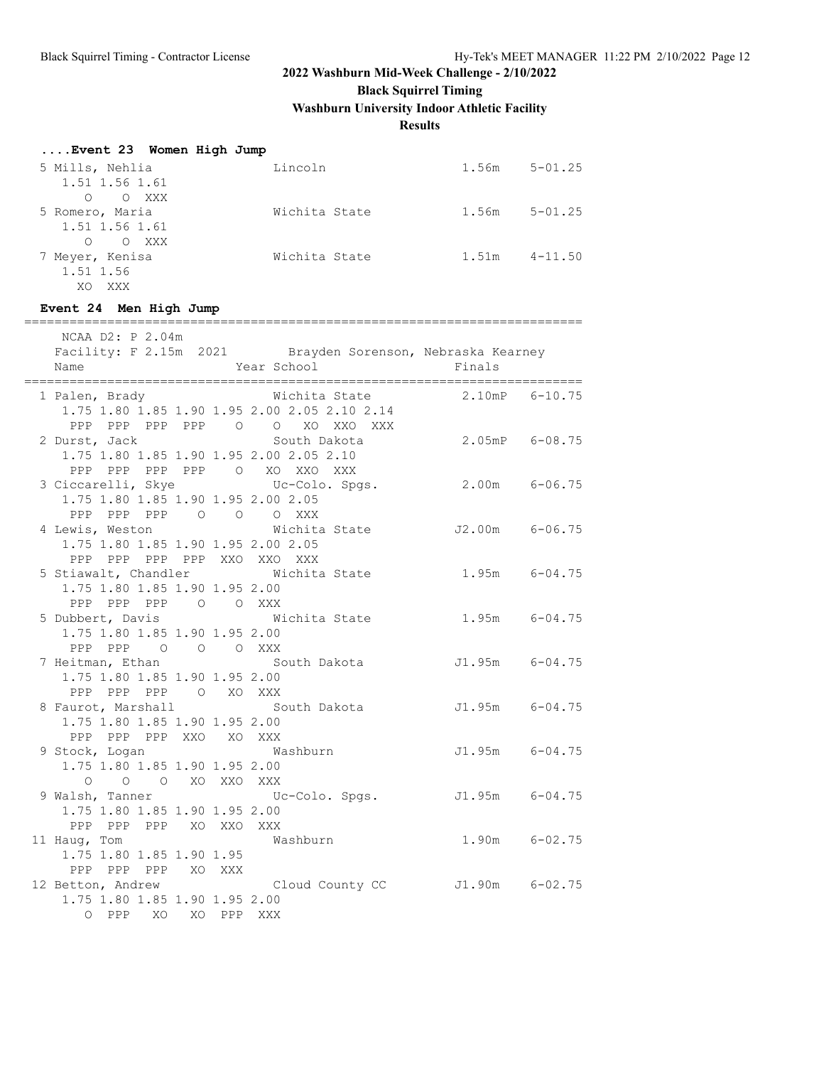# **Black Squirrel Timing**

**Washburn University Indoor Athletic Facility**

**Results**

| Event 23 Women High Jump |               |       |             |
|--------------------------|---------------|-------|-------------|
| 5 Mills, Nehlia          | Lincoln       | 1.56m | $5 - 01.25$ |
| 1.51 1.56 1.61           |               |       |             |
| O XXX<br>$\Omega$        |               |       |             |
| 5 Romero, Maria          | Wichita State | 1.56m | $5 - 01.25$ |
| 1.51 1.56 1.61           |               |       |             |
| O XXX<br>$\Omega$        |               |       |             |
| 7 Meyer, Kenisa          | Wichita State | 1.51m | $4 - 11.50$ |
| 1.51 1.56                |               |       |             |
| XXX<br>XO                |               |       |             |

#### **Event 24 Men High Jump**

| NCAA D2: P 2.04m                                         |                                                           |                    |  |
|----------------------------------------------------------|-----------------------------------------------------------|--------------------|--|
|                                                          | Facility: F 2.15m 2021 Brayden Sorenson, Nebraska Kearney |                    |  |
| Name                                                     | Year School                                               | Finals             |  |
|                                                          |                                                           |                    |  |
| 1 Palen, Brady Michita State                             |                                                           | 2.10mP 6-10.75     |  |
|                                                          | 1.75 1.80 1.85 1.90 1.95 2.00 2.05 2.10 2.14              |                    |  |
| PPP PPP PPP PPP 0 0 XO XXO XXX                           |                                                           |                    |  |
| 2 Durst, Jack<br>1.75 1.80 1.85 1.90 1.95 2.00 2.05 2.10 |                                                           |                    |  |
| PPP PPP PPP PPP 0 XO XXO XXX                             |                                                           |                    |  |
| 3 Ciccarelli, Skye Uc-Colo. Spgs.                        |                                                           | $2.00m$ 6-06.75    |  |
| 1.75 1.80 1.85 1.90 1.95 2.00 2.05                       |                                                           |                    |  |
| PPP PPP PPP 0 0 0 XXX                                    |                                                           |                    |  |
|                                                          | 4 Lewis, Weston 6-06.75                                   |                    |  |
| 1.75 1.80 1.85 1.90 1.95 2.00 2.05                       |                                                           |                    |  |
| PPP PPP PPP PPP XXO XXO XXX                              |                                                           |                    |  |
| 5 Stiawalt, Chandler Michita State                       |                                                           | $1.95m$ $6-04.75$  |  |
| 1.75 1.80 1.85 1.90 1.95 2.00                            |                                                           |                    |  |
| PPP PPP PPP 0 0 XXX                                      |                                                           |                    |  |
|                                                          | 5 Dubbert, Davis <b>Michita State</b> 1.95m 6-04.75       |                    |  |
| 1.75 1.80 1.85 1.90 1.95 2.00                            |                                                           |                    |  |
| PPP PPP 0 0 0 XXX<br>7 Heitman, Ethan                    | South Dakota<br>J1.95m 6-04.75                            |                    |  |
| 1.75 1.80 1.85 1.90 1.95 2.00                            |                                                           |                    |  |
| PPP PPP PPP 0 XO XXX                                     |                                                           |                    |  |
|                                                          | 8 Faurot, Marshall South Dakota 51.95m 6-04.75            |                    |  |
| 1.75 1.80 1.85 1.90 1.95 2.00                            |                                                           |                    |  |
| PPP PPP PPP XXO XO XXX                                   |                                                           |                    |  |
| 9 Stock, Logan Mashburn                                  |                                                           | $J1.95m$ $6-04.75$ |  |
| 1.75 1.80 1.85 1.90 1.95 2.00                            |                                                           |                    |  |
| O O O XO XXO XXX                                         |                                                           |                    |  |
|                                                          | 9 Walsh, Tanner Colo. Spgs. 51.95m 6-04.75                |                    |  |
| 1.75 1.80 1.85 1.90 1.95 2.00                            |                                                           |                    |  |
| PPP PPP PPP XO XXO XXX                                   |                                                           |                    |  |
| 11 Haug, Tom<br>1.75 1.80 1.85 1.90 1.95                 | Washburn                                                  | $1.90m$ $6-02.75$  |  |
| PPP PPP PPP XO XXX                                       |                                                           |                    |  |
|                                                          | 12 Betton, Andrew Cloud County CC J1.90m 6-02.75          |                    |  |
| 1.75 1.80 1.85 1.90 1.95 2.00                            |                                                           |                    |  |
| O PPP XO XO PPP XXX                                      |                                                           |                    |  |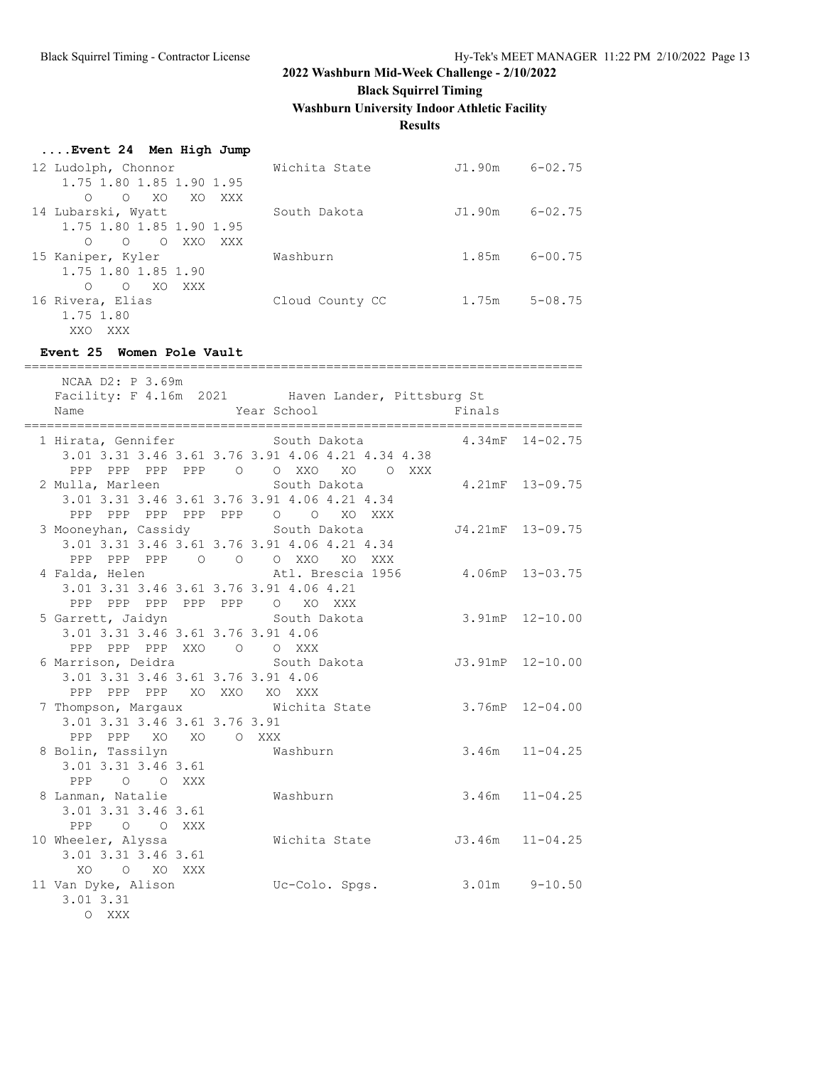**Black Squirrel Timing**

**Washburn University Indoor Athletic Facility**

### **Results**

### **....Event 24 Men High Jump**

| 12 Ludolph, Chonnor                  | Wichita State   | J1.90m | $6 - 02.75$ |
|--------------------------------------|-----------------|--------|-------------|
| 1.75 1.80 1.85 1.90 1.95             |                 |        |             |
| XO.<br>XO XO<br>$\Omega$<br>XXX      |                 |        |             |
| 14 Lubarski, Wyatt                   | South Dakota    | J1.90m | $6 - 02.75$ |
| 1.75 1.80 1.85 1.90 1.95             |                 |        |             |
| O O XXO<br>XXX X                     |                 |        |             |
| 15 Kaniper, Kyler                    | Washburn        | 1.85m  | $6 - 00.75$ |
| 1.75 1.80 1.85 1.90                  |                 |        |             |
| $\Omega$<br>XO.<br>XXX<br>$\bigcirc$ |                 |        |             |
| 16 Rivera, Elias                     | Cloud County CC | 1.75m  | $5 - 08.75$ |
| 1.75 1.80                            |                 |        |             |

### **Event 25 Women Pole Vault**

XXO XXX

| NCAA D2: P 3.69m<br>Name<br>________________________________     | -----------------<br>Facility: F 4.16m 2021 Haven Lander, Pittsburg St<br>Year School                                                           | Finals                  |
|------------------------------------------------------------------|-------------------------------------------------------------------------------------------------------------------------------------------------|-------------------------|
|                                                                  | 1 Hirata, Gennifer 5 South Dakota 5 81 4.34mF 14-02.75<br>3.01 3.31 3.46 3.61 3.76 3.91 4.06 4.21 4.34 4.38<br>PPP PPP PPP PPP 0 0 XX0 X0 0 XXX |                         |
|                                                                  | 2 Mulla, Marleen South Dakota 4.21mF 13-09.75<br>3.01 3.31 3.46 3.61 3.76 3.91 4.06 4.21 4.34<br>PPP PPP PPP PPP PPP 0 0 XO XXX                 |                         |
|                                                                  | 3 Mooneyhan, Cassidy South Dakota 54.21mF 13-09.75<br>3.01 3.31 3.46 3.61 3.76 3.91 4.06 4.21 4.34<br>PPP PPP PPP 0 0 0 XXO XO XXX              |                         |
|                                                                  | 4 Falda, Helen Matl. Brescia 1956 4.06mP 13-03.75<br>3.01 3.31 3.46 3.61 3.76 3.91 4.06 4.21<br>PPP PPP PPP PPP PPP 0 XO XXX                    |                         |
| 3.01 3.31 3.46 3.61 3.76 3.91 4.06<br>PPP PPP PPP XXO O O XXX    | 5 Garrett, Jaidyn (5) South Dakota (5.91mP 12-10.00                                                                                             |                         |
| 3.01 3.31 3.46 3.61 3.76 3.91 4.06<br>PPP PPP PPP XO XXO XO XXX  | 6 Marrison, Deidra             South Dakota                                                                                                     | J3.91mP 12-10.00        |
| 3.01 3.31 3.46 3.61 3.76 3.91<br>PPP PPP XO XO O XXX             | 7 Thompson, Margaux Michita State                                                                                                               | $3.76$ m $P$ $12-04.00$ |
| 8 Bolin, Tassilyn Mashburn<br>3.01 3.31 3.46 3.61<br>PPP O O XXX |                                                                                                                                                 | $3.46m$ $11-04.25$      |
| 8 Lanman, Natalie<br>3.01 3.31 3.46 3.61<br>PPP O O XXX          | Washburn                                                                                                                                        | $3.46m$ $11-04.25$      |
| 10 Wheeler, Alyssa<br>3.01 3.31 3.46 3.61<br>XO O XO XXX         | Wichita State 53.46m 11-04.25                                                                                                                   |                         |
| 11 Van Dyke, Alison<br>3.01 3.31<br>O XXX                        | Uc-Colo. Spgs.                                                                                                                                  | $3.01m$ $9-10.50$       |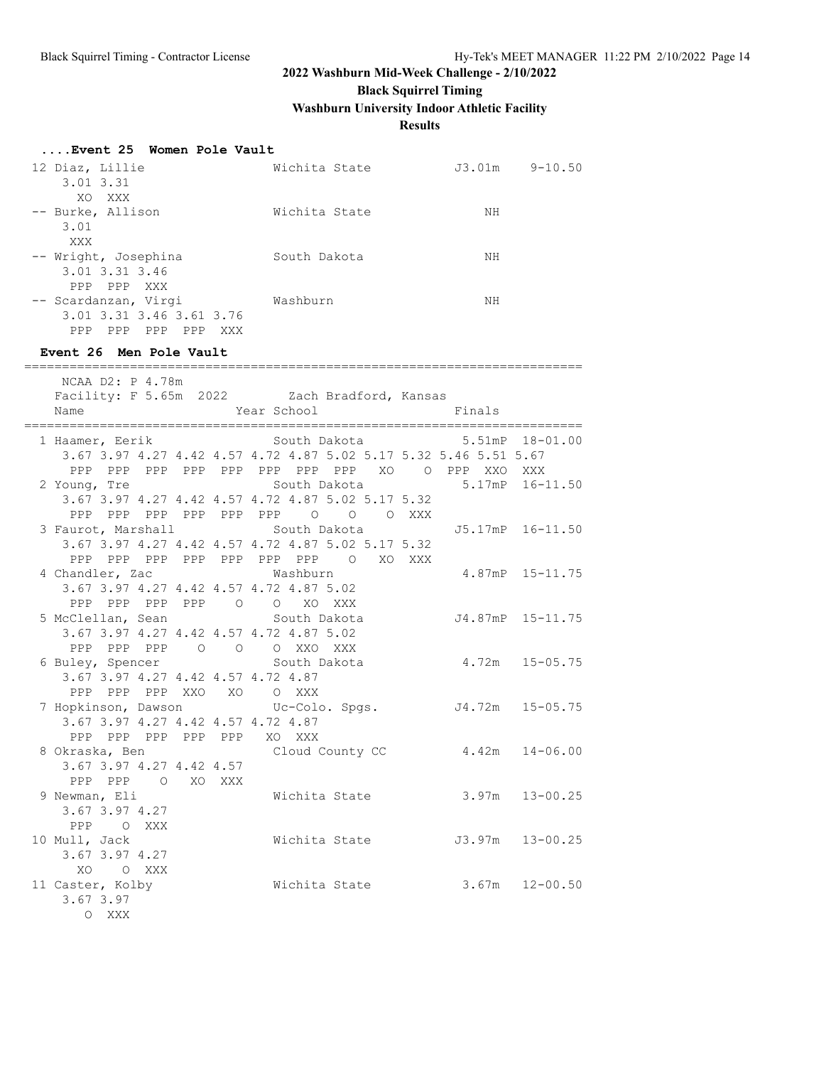**Black Squirrel Timing**

**Washburn University Indoor Athletic Facility**

### **Results**

### **....Event 25 Women Pole Vault**

| 12 Diaz, Lillie                 | Wichita State | J3.01m | $9 - 10.50$ |
|---------------------------------|---------------|--------|-------------|
| $3.01$ $3.31$                   |               |        |             |
| XXX<br>XO                       |               |        |             |
| -- Burke, Allison               | Wichita State | ΝH     |             |
| 3.01                            |               |        |             |
| XXX                             |               |        |             |
| -- Wright, Josephina            | South Dakota  | NΗ     |             |
| 3.01 3.31 3.46                  |               |        |             |
| PPP PPP XXX                     |               |        |             |
| -- Scardanzan, Virgi            | Washburn      | NΗ     |             |
| 3.01 3.31 3.46 3.61 3.76        |               |        |             |
| PPP<br>PPP<br>PPP<br>PPP<br>XXX |               |        |             |

#### **Event 26 Men Pole Vault**

| NCAA D2: P 4.78m<br>Facility: F 5.65m 2022 Zach Bradford, Kansas<br>Name                                             |  | Year School   |  | <b>Example 19</b> Finals      |  |
|----------------------------------------------------------------------------------------------------------------------|--|---------------|--|-------------------------------|--|
| 1 Haamer, Eerik South Dakota 5.51mP 18-01.00                                                                         |  |               |  |                               |  |
| 3.67 3.97 4.27 4.42 4.57 4.72 4.87 5.02 5.17 5.32 5.46 5.51 5.67<br>PPP PPP PPP PPP PPP PPP PPP PPP XO O PPP XXO XXX |  |               |  |                               |  |
| 2 Young, Tre                                                                                                         |  |               |  | South Dakota 5.17mP 16-11.50  |  |
| 3.67 3.97 4.27 4.42 4.57 4.72 4.87 5.02 5.17 5.32                                                                    |  |               |  |                               |  |
| PPP PPP PPP PPP PPP PPP 0 0 0 XXX                                                                                    |  |               |  |                               |  |
| 3 Faurot, Marshall South Dakota 55.17mP 16-11.50                                                                     |  |               |  |                               |  |
| 3.67 3.97 4.27 4.42 4.57 4.72 4.87 5.02 5.17 5.32                                                                    |  |               |  |                               |  |
| PPP PPP PPP PPP PPP PPP PPP O XO XXX                                                                                 |  |               |  |                               |  |
| 4 Chandler, Zac Washburn<br>3.67 3.97 4.27 4.42 4.57 4.72 4.87 5.02                                                  |  |               |  | 4.87mP 15-11.75               |  |
| PPP PPP PPP PPP 0 0 XO XXX                                                                                           |  |               |  |                               |  |
| 5 McClellan, Sean South Dakota 54.87mP 15-11.75                                                                      |  |               |  |                               |  |
| 3.67 3.97 4.27 4.42 4.57 4.72 4.87 5.02                                                                              |  |               |  |                               |  |
| PPP PPP PPP 0 0 0 XXO XXX                                                                                            |  |               |  |                               |  |
| 6 Buley, Spencer South Dakota                                                                                        |  |               |  | $4.72m$ $15-05.75$            |  |
| 3.67 3.97 4.27 4.42 4.57 4.72 4.87                                                                                   |  |               |  |                               |  |
| PPP PPP PPP XXO XO O XXX                                                                                             |  |               |  |                               |  |
| 7 Hopkinson, Dawson           Uc-Colo. Spgs.         J4.72m   15-05.75                                               |  |               |  |                               |  |
| 3.67 3.97 4.27 4.42 4.57 4.72 4.87                                                                                   |  |               |  |                               |  |
| PPP PPP PPP PPP PPP XO XXX                                                                                           |  |               |  |                               |  |
| 8 Okraska, Ben Cloud County CC 4.42m 14-06.00                                                                        |  |               |  |                               |  |
| 3.67 3.97 4.27 4.42 4.57<br>PPP PPP 0 XO XXX                                                                         |  |               |  |                               |  |
| 9 Newman, Eli                                                                                                        |  | Wichita State |  | $3.97m$ $13-00.25$            |  |
| 3.67 3.97 4.27                                                                                                       |  |               |  |                               |  |
| PPP OXXX                                                                                                             |  |               |  |                               |  |
| 10 Mull, Jack                                                                                                        |  |               |  | Wichita State 53.97m 13-00.25 |  |
| 3.67 3.97 4.27                                                                                                       |  |               |  |                               |  |
| XO OXXX                                                                                                              |  |               |  |                               |  |
| 11 Caster, Kolby                                                                                                     |  | Wichita State |  | $3.67m$ $12-00.50$            |  |
| 3.67 3.97                                                                                                            |  |               |  |                               |  |
| O XXX                                                                                                                |  |               |  |                               |  |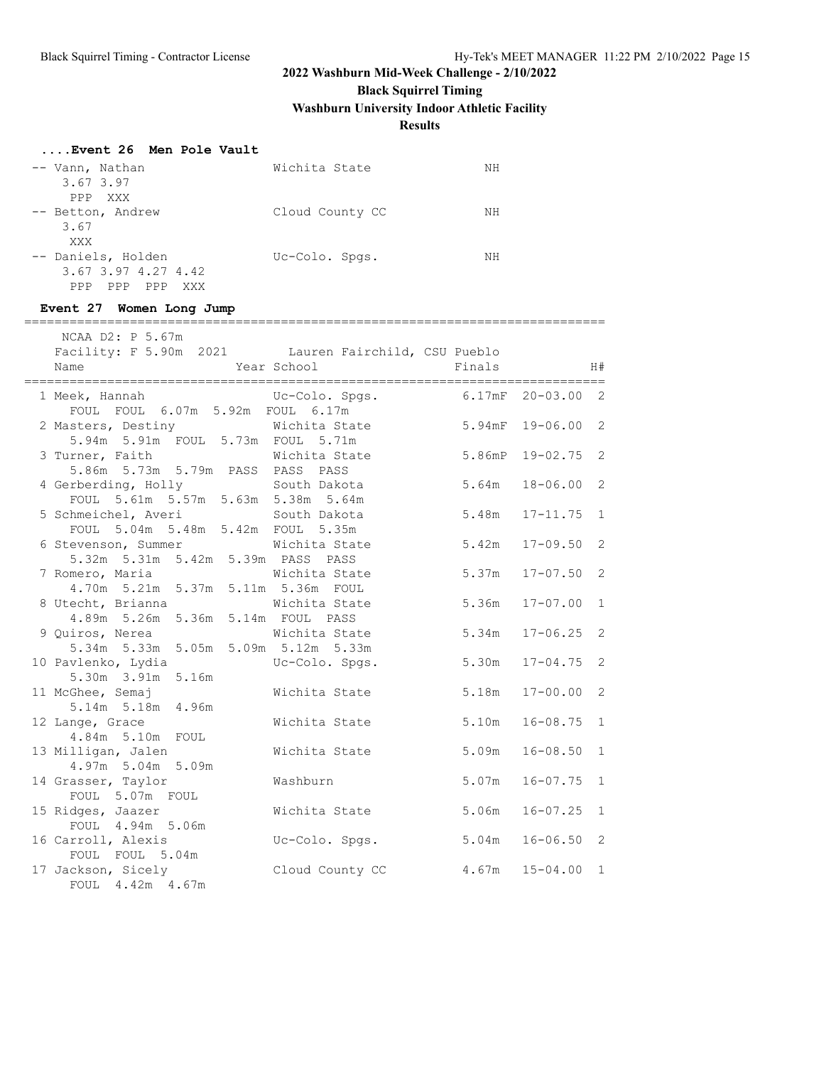# **Black Squirrel Timing**

**Washburn University Indoor Athletic Facility**

### **Results**

### **....Event 26 Men Pole Vault**

| -- Vann, Nathan<br>3.67 3.97<br>PPP XXX                            | Wichita State   | NΗ |
|--------------------------------------------------------------------|-----------------|----|
| -- Betton, Andrew<br>3.67                                          | Cloud County CC | NΗ |
| XXX                                                                |                 |    |
| -- Daniels, Holden<br>3.67 3.97 4.27 4.42<br>PPP PPP<br>PPP<br>XXX | Uc-Colo. Spgs.  | NΗ |

#### **Event 27 Women Long Jump**

=============================================================================

| NCAA D2: P 5.67m                                                      |                                  |           |                |              |
|-----------------------------------------------------------------------|----------------------------------|-----------|----------------|--------------|
| Facility: F 5.90m 2021 Lauren Fairchild, CSU Pueblo                   |                                  |           |                |              |
| Name                                                                  | Year School Finals               |           |                | H#           |
|                                                                       |                                  |           |                |              |
| 1 Meek, Hannah (Uc-Colo. Spgs. 6.17mF 20-03.00 2                      |                                  |           |                |              |
| FOUL FOUL 6.07m 5.92m FOUL 6.17m                                      |                                  |           |                |              |
| 2 Masters, Destiny Michita State                                      |                                  | $5.94$ mF | $19 - 06.002$  |              |
| 5.94m 5.91m FOUL 5.73m FOUL 5.71m                                     |                                  |           |                |              |
| 3 Turner, Faith Michita State                                         |                                  | 5.86mP    | $19 - 02.75$ 2 |              |
| 5.86m 5.73m 5.79m PASS PASS PASS                                      |                                  |           |                |              |
| 4 Gerberding, Holly South Dakota                                      |                                  | 5.64m     | $18 - 06.00$ 2 |              |
| FOUL 5.61m 5.57m 5.63m 5.38m 5.64m                                    |                                  |           |                |              |
| 5 Schmeichel, Averi South Dakota<br>FOUL 5.04m 5.48m 5.42m FOUL 5.35m |                                  | 5.48m     | $17 - 11.75$ 1 |              |
| 6 Stevenson, Summer Wichita State                                     |                                  | 5.42m     | $17 - 09.50$ 2 |              |
| 5.32m 5.31m 5.42m 5.39m PASS PASS                                     |                                  |           |                |              |
| 7 Romero, Maria <b>Michita</b> State                                  |                                  | 5.37m     | $17 - 07.50$ 2 |              |
| 4.70m 5.21m 5.37m 5.11m 5.36m FOUL                                    |                                  |           |                |              |
| 8 Utecht, Brianna Michita State                                       |                                  | 5.36m     | $17 - 07.00$   | 1            |
| 4.89m 5.26m 5.36m 5.14m FOUL PASS                                     |                                  |           |                |              |
| 9 Quiros, Nerea Michita State                                         |                                  | 5.34m     | $17 - 06.25$ 2 |              |
| 5.34m 5.33m 5.05m 5.09m 5.12m 5.33m                                   |                                  |           |                |              |
| 10 Pavlenko, Lydia                                                    | Uc-Colo. Spgs.                   | 5.30m     | $17 - 04.75$ 2 |              |
| 5.30m 3.91m 5.16m                                                     |                                  |           |                |              |
| 11 McGhee, Semaj                                                      | Wichita State                    | 5.18m     | $17 - 00.00$   | 2            |
| 5.14m 5.18m 4.96m                                                     |                                  |           |                |              |
| 12 Lange, Grace                                                       | Wichita State                    | 5.10m     | $16 - 08.75$   | $\mathbf{1}$ |
| 4.84m 5.10m FOUL                                                      |                                  |           |                |              |
| 13 Milligan, Jalen                                                    | Wichita State                    | 5.09m     | $16 - 08.50$   | 1            |
| 4.97m 5.04m 5.09m                                                     |                                  |           |                |              |
| 14 Grasser, Taylor                                                    | Washburn                         | 5.07m     | $16 - 07.75$   | 1            |
| FOUL 5.07m FOUL                                                       |                                  |           |                |              |
| 15 Ridges, Jaazer                                                     | Wichita State                    | 5.06m     | $16 - 07.25$   | 1            |
| FOUL 4.94m 5.06m                                                      |                                  |           |                |              |
| 16 Carroll, Alexis                                                    | Uc-Colo. Spgs.                   | 5.04m     | $16 - 06.50$ 2 |              |
| FOUL FOUL 5.04m                                                       |                                  |           |                |              |
| 17 Jackson, Sicely                                                    | Cloud County CC 4.67m 15-04.00 1 |           |                |              |
| FOUL 4.42m 4.67m                                                      |                                  |           |                |              |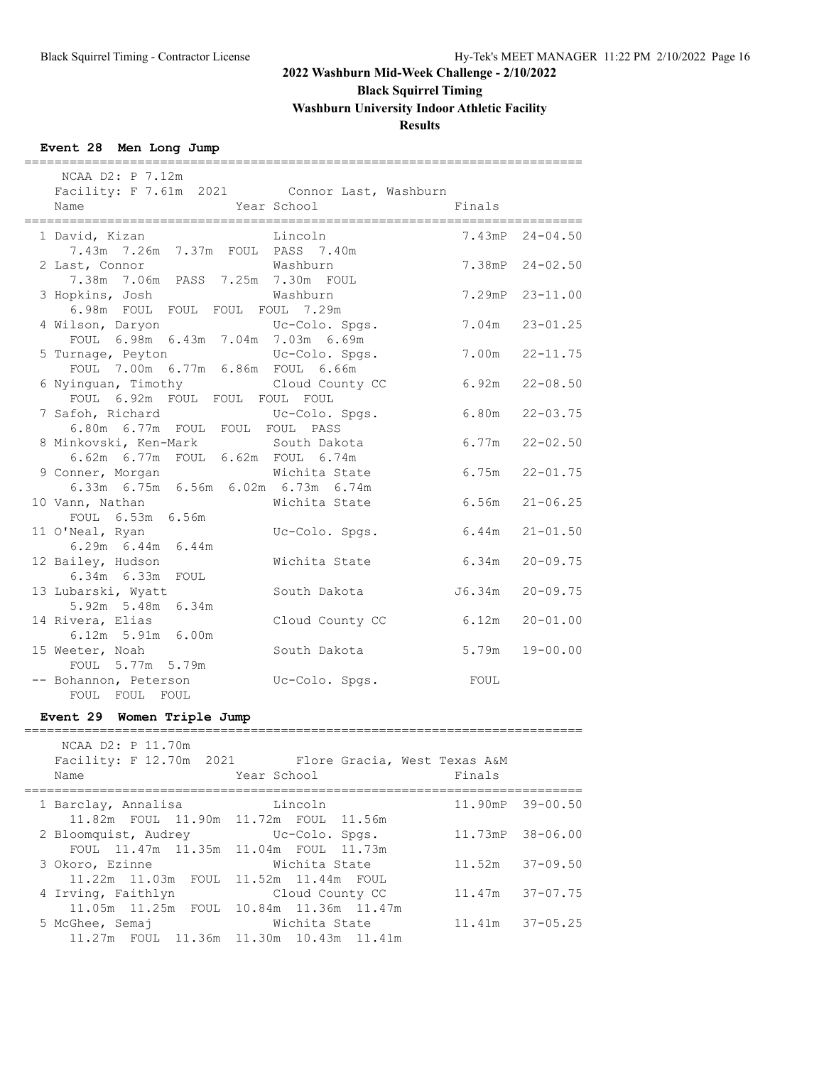**Black Squirrel Timing**

**Washburn University Indoor Athletic Facility**

### **Results**

==========================================================================

### **Event 28 Men Long Jump**

| NCAA D2: P 7.12m                                                               |                                             |                                |                     |  |  |  |
|--------------------------------------------------------------------------------|---------------------------------------------|--------------------------------|---------------------|--|--|--|
| Facility: F 7.61m 2021 Connor Last, Washburn<br>Name<br>====================== | Year School<br>_________________________    | Finals<br>==================== |                     |  |  |  |
| 1 David, Kizan<br>7.43m 7.26m 7.37m FOUL PASS 7.40m                            | Lincoln                                     |                                | 7.43mP 24-04.50     |  |  |  |
| 2 Last, Connor<br>7.38m 7.06m PASS 7.25m 7.30m FOUL                            | Washburn                                    |                                | $7.38mP$ $24-02.50$ |  |  |  |
| 3 Hopkins, Josh<br>6.98m FOUL FOUL FOUL FOUL 7.29m                             | Washburn                                    |                                | 7.29mP 23-11.00     |  |  |  |
| 4 Wilson, Daryon Uc-Colo. Spg:<br>FOUL 6.98m 6.43m 7.04m 7.03m 6.69m           | Uc-Colo. Spgs.                              | 7.04m                          | $23 - 01.25$        |  |  |  |
| 5 Turnage, Peyton<br>FOUL 7.00m 6.77m 6.86m FOUL 6.66m                         | Uc-Colo. Spgs.                              | 7.00m                          | $22 - 11.75$        |  |  |  |
| 6 Nyinguan, Timothy<br>FOUL 6.92m FOUL FOUL FOUL FOUL                          | Cloud County CC                             |                                | $6.92m$ $22-08.50$  |  |  |  |
| 7 Safoh, Richard<br>6.80m 6.77m FOUL FOUL FOUL PASS                            | Uc-Colo. Spgs.                              | 6.80m                          | $22 - 03.75$        |  |  |  |
| 8 Minkovski, Ken-Mark South Dakota<br>6.62m 6.77m FOUL 6.62m FOUL 6.74m        |                                             | 6.77m                          | $22 - 02.50$        |  |  |  |
| 9 Conner, Morgan<br>6.33m 6.75m 6.56m 6.02m 6.73m 6.74m                        | Wichita State                               | 6.75m                          | $22 - 01.75$        |  |  |  |
| 10 Vann, Nathan<br>FOUL 6.53m 6.56m                                            | Wichita State                               | 6.56m                          | $21 - 06.25$        |  |  |  |
| 11 O'Neal, Ryan<br>6.29m 6.44m 6.44m                                           | Uc-Colo. Spgs.                              | 6.44m                          | $21 - 01.50$        |  |  |  |
| 12 Bailey, Hudson<br>6.34m  6.33m  FOUL                                        | Wichita State                               | $6.34m$ $20-09.75$             |                     |  |  |  |
| 13 Lubarski, Wyatt<br>5.92m 5.48m 6.34m                                        | South Dakota                                | J6.34m                         | $20 - 09.75$        |  |  |  |
| 14 Rivera, Elias<br>6.12m 5.91m 6.00m                                          | Cloud County CC                             | 6.12m                          | $20 - 01.00$        |  |  |  |
| 15 Weeter, Noah<br>FOUL 5.77m 5.79m                                            | South Dakota                                | 5.79m                          | $19 - 00.00$        |  |  |  |
| -- Bohannon, Peterson<br>FOUL FOUL FOUL                                        | Uc-Colo. Spgs.                              | FOUL                           |                     |  |  |  |
| Event 29 Women Triple Jump                                                     |                                             |                                |                     |  |  |  |
| NCAA D2: P 11.70m<br>Facility: F 12.70m 2021<br>Name                           | Flore Gracia, West Texas A&M<br>Year School | Finals                         |                     |  |  |  |
| 1 Barclay, Annalisa<br>11.82m FOUL<br>11.90m                                   | Lincoln<br>11.72m FOUL<br>11.56m            | 11.90mP                        | $39 - 00.50$        |  |  |  |
| 2 Bloomquist, Audrey<br>FOUL 11.47m 11.35m                                     | Uc-Colo. Spgs.<br>11.04m FOUL 11.73m        | 11.73mP                        | $38 - 06.00$        |  |  |  |
| 3 Okoro, Ezinne<br>11.22m<br>11.52m<br>11.03m FOUL                             | Wichita State<br>11.44m<br>FOUL             | 11.52m                         | $37 - 09.50$        |  |  |  |

4 Irving, Faithlyn Cloud County CC 11.47m 37-07.75

5 McGhee, Semaj Wichita State 11.41m 37-05.25

11.05m 11.25m FOUL 10.84m 11.36m 11.47m

11.27m FOUL 11.36m 11.30m 10.43m 11.41m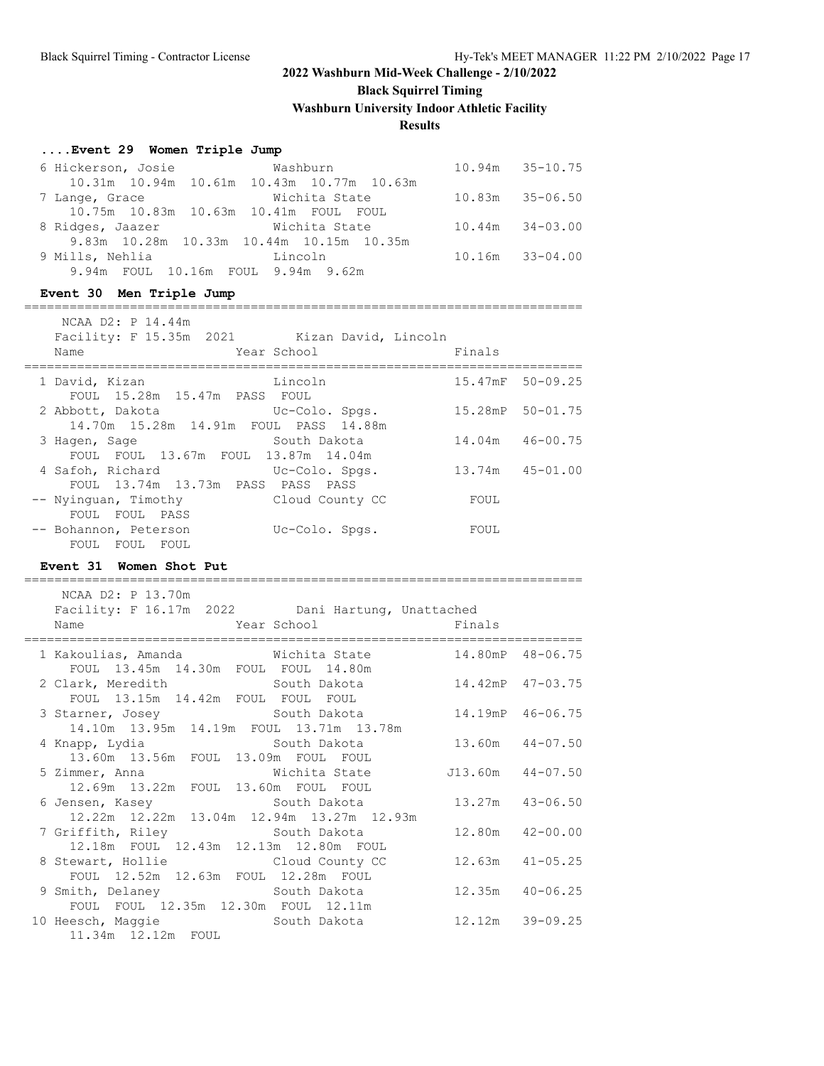**Black Squirrel Timing**

**Washburn University Indoor Athletic Facility**

#### **Results**

#### **....Event 29 Women Triple Jump**

| 6 Hickerson, Josie                 | <b>Washburn</b>                            | $10.94m$ $35-10.75$ |
|------------------------------------|--------------------------------------------|---------------------|
|                                    | 10.31m 10.94m 10.61m 10.43m 10.77m 10.63m  |                     |
| 7 Lange, Grace                     | Wichita State                              | $10.83m$ $35-06.50$ |
|                                    | 10.75m  10.83m  10.63m  10.41m  FOUL  FOUL |                     |
| 8 Ridges, Jaazer                   | Wichita State                              | $10.44m$ $34-03.00$ |
|                                    | 9.83m 10.28m 10.33m 10.44m 10.15m 10.35m   |                     |
| 9 Mills, Nehlia                    | and the state of the Lincoln               | $10.16m$ $33-04.00$ |
| 9.94m FOUL 10.16m FOUL 9.94m 9.62m |                                            |                     |
|                                    |                                            |                     |

# **Event 30 Men Triple Jump** NCAA D2: P 14.44m

==========================================================================

| Name                  | NUAA DZI PIIII.44111         | Facility: F 15.35m 2021 Kizan David, Lincoln<br>Year School | Finals |                  |
|-----------------------|------------------------------|-------------------------------------------------------------|--------|------------------|
| 1 David, Kizan        | FOUL 15.28m 15.47m PASS FOUL | Lincoln                                                     |        | 15.47mF 50-09.25 |
|                       | 2 Abbott, Dakota             | Uc-Colo. Spgs.<br>14.70m 15.28m 14.91m FOUL PASS 14.88m     |        | 15.28mP 50-01.75 |
| 3 Hagen, Sage         |                              | South Dakota<br>FOUL FOUL 13.67m FOUL 13.87m 14.04m         |        | 14.04m 46-00.75  |
| 4 Safoh, Richard      |                              | Uc-Colo. Spgs.<br>FOUL 13.74m 13.73m PASS PASS PASS         |        | 13.74m  45-01.00 |
|                       | FOUL FOUL PASS               | -- Nyinguan, Timothy Cloud County CC                        | FOUL   |                  |
| -- Bohannon, Peterson | FOUL FOUL FOUL               | Uc-Colo. Spgs.                                              | FOUL   |                  |

### **Event 31 Women Shot Put**

========================================================================== NCAA D2: P 13.70m Facility: F 16.17m 2022 Dani Hartung, Unattached Name **The School Finals** Year School Finals ========================================================================== 1 Kakoulias, Amanda Wichita State 14.80mP 48-06.75 FOUL 13.45m 14.30m FOUL FOUL 14.80m 2 Clark, Meredith South Dakota 14.42mP 47-03.75 FOUL 13.15m 14.42m FOUL FOUL FOUL 3 Starner, Josey South Dakota 14.19mP 46-06.75 14.10m 13.95m 14.19m FOUL 13.71m 13.78m 4 Knapp, Lydia South Dakota 13.60m 44-07.50 13.60m 13.56m FOUL 13.09m FOUL FOUL 5 Zimmer, Anna Wichita State J13.60m 44-07.50 12.69m 13.22m FOUL 13.60m FOUL FOUL 6 Jensen, Kasey South Dakota 13.27m 43-06.50 12.22m 12.22m 13.04m 12.94m 13.27m 12.93m 7 Griffith, Riley South Dakota 12.80m 42-00.00 12.18m FOUL 12.43m 12.13m 12.80m FOUL 8 Stewart, Hollie Cloud County CC 12.63m 41-05.25 FOUL 12.52m 12.63m FOUL 12.28m FOUL 9 Smith, Delaney South Dakota 12.35m 40-06.25 FOUL FOUL 12.35m 12.30m FOUL 12.11m 10 Heesch, Maggie South Dakota 12.12m 39-09.25 11.34m 12.12m FOUL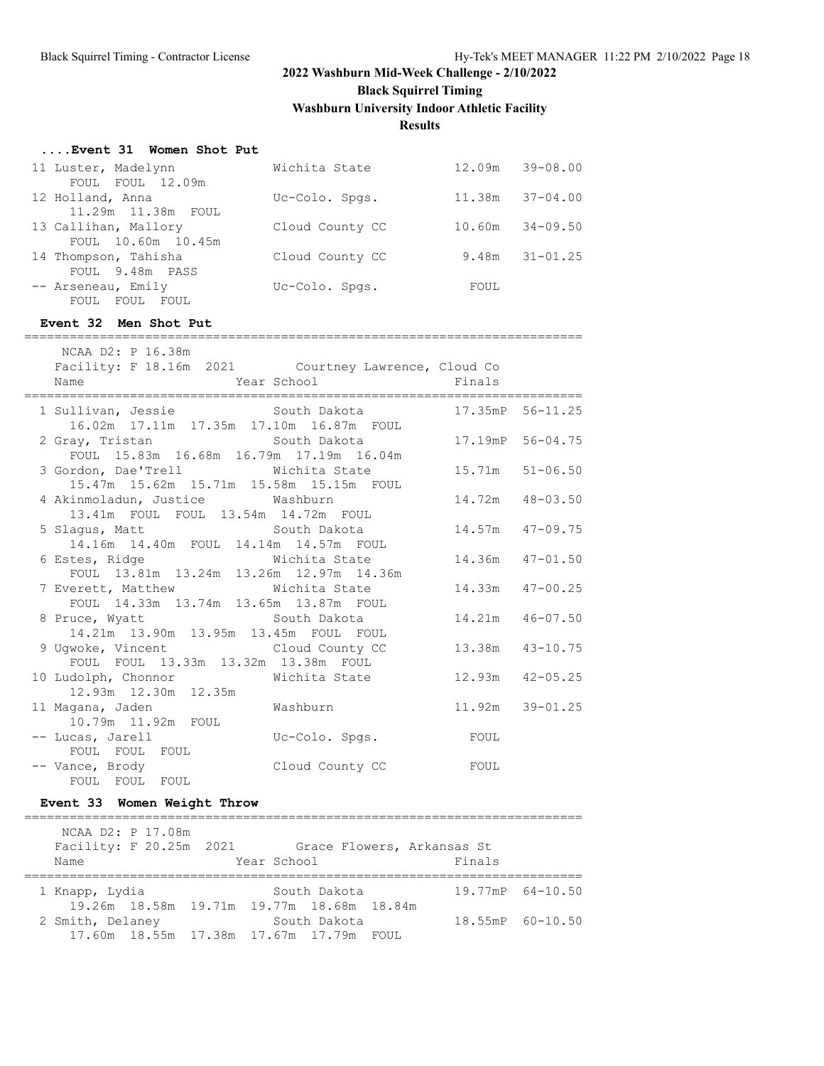**Black Squirrel Timing**

**Washburn University Indoor Athletic Facility**

### **Results**

#### **....Event 31 Women Shot Put**

| 11 Luster, Madelynn  |                    | Wichita State   |        | 12.09m 39-08.00 |
|----------------------|--------------------|-----------------|--------|-----------------|
|                      | FOUL FOUL 12.09m   |                 |        |                 |
| 12 Holland, Anna     |                    | Uc-Colo. Spgs.  | 11.38m | $37 - 04.00$    |
|                      | 11.29m 11.38m FOUL |                 |        |                 |
| 13 Callihan, Mallory |                    | Cloud County CC | 10.60m | $34 - 09.50$    |
|                      | FOUL 10.60m 10.45m |                 |        |                 |
| 14 Thompson, Tahisha |                    | Cloud County CC | 9.48m  | $31 - 01.25$    |
|                      | FOUL 9.48m PASS    |                 |        |                 |
| -- Arseneau, Emily   |                    | Uc-Colo. Spgs.  | FOUL   |                 |
|                      | FOUL FOUL FOUL     |                 |        |                 |

#### **Event 32 Men Shot Put**

========================================================================== NCAA D2: P 16.38m

| Facility: F 18.16m 2021 Courtney Lawrence, Cloud Co                                               |  |                  |
|---------------------------------------------------------------------------------------------------|--|------------------|
| 1 Sullivan, Jessie South Dakota 17.35mP 56-11.25<br>16.02m  17.11m  17.35m  17.10m  16.87m  FOUL  |  |                  |
| 2 Gray, Tristan Makota 56-04.75<br>FOUL 15.83m 16.68m 16.79m 17.19m 16.04m                        |  |                  |
| 3 Gordon, Dae'Trell Wichita State 15.71m 51-06.50<br>15.47m  15.62m  15.71m  15.58m  15.15m  FOUL |  |                  |
| 4 Akinmoladun, Justice Mashburn<br>13.41m    FOUL    FOUL    13.54m    14.72m    FOUL             |  | 14.72m  48-03.50 |
| 5 Slagus, Matt 6 14.57m 17-09.75<br>14.16m  14.40m  FOUL  14.14m  14.57m  FOUL                    |  |                  |
| 6 Estes, Ridge Michita State 14.36m 47-01.50<br>FOUL 13.81m 13.24m 13.26m 12.97m 14.36m           |  |                  |
| 7 Everett, Matthew Michita State<br>FOUL 14.33m 13.74m 13.65m 13.87m FOUL                         |  | 14.33m  47-00.25 |
|                                                                                                   |  |                  |
| 9 Ugwoke, Vincent Cloud County CC<br>FOUL FOUL 13.33m 13.32m 13.38m FOUL                          |  | 13.38m  43-10.75 |
| 10 Ludolph, Chonnor Michita State<br>12.93m  12.30m  12.35m                                       |  | 12.93m  42-05.25 |
| 11 Magana, Jaden Mashburn Mashburn 11.92m 39-01.25<br>10.79m  11.92m  FOUL                        |  |                  |
| -- Lucas, Jarell Colo. Spgs. TOUL<br>FOUL FOUL FOUL                                               |  |                  |
| -- Vance, Brody Cloud County CC FOUL<br>FOUL FOUL FOUL                                            |  |                  |

### **Event 33 Women Weight Throw**

========================================================================== NCAA D2: P 17.08m Facility: F 20.25m 2021 Grace Flowers, Arkansas St<br>Name Year School Finals Year School Finals ========================================================================== 1 Knapp, Lydia South Dakota 19.77mP 64-10.50 19.26m 18.58m 19.71m 19.77m 18.68m 18.84m 2 Smith, Delaney South Dakota 18.55mP 60-10.50 17.60m 18.55m 17.38m 17.67m 17.79m FOUL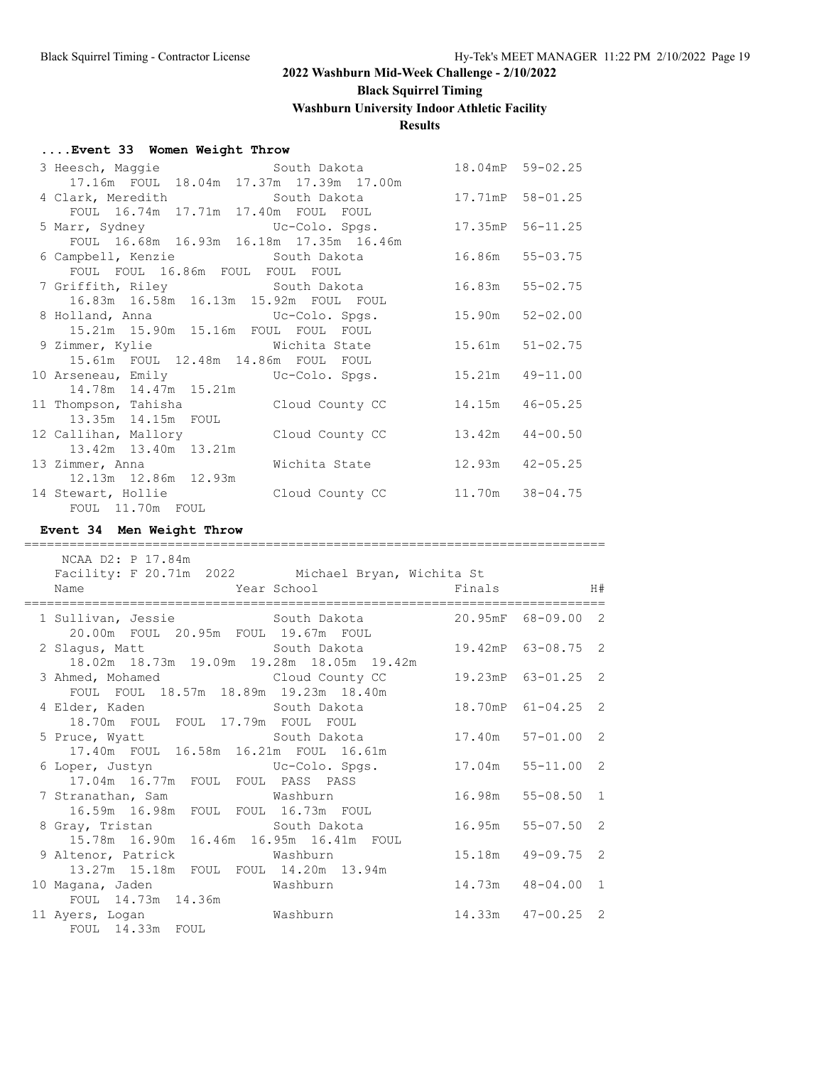# **Black Squirrel Timing**

**Washburn University Indoor Athletic Facility**

### **Results**

### **....Event 33 Women Weight Throw**

| 3 Heesch, Maggie South Dakota                        |                  | 18.04mP 59-02.25    |
|------------------------------------------------------|------------------|---------------------|
| 17.16m FOUL 18.04m 17.37m 17.39m 17.00m              |                  |                     |
| 4 Clark, Meredith South Dakota 17.71mP 58-01.25      |                  |                     |
| FOUL 16.74m 17.71m 17.40m FOUL FOUL                  |                  |                     |
| 5 Marr, Sydney Colo. Spgs.                           |                  | 17.35mP 56-11.25    |
| FOUL 16.68m 16.93m 16.18m 17.35m 16.46m              |                  |                     |
| 6 Campbell, Kenzie             South Dakota          |                  | 16.86m 55-03.75     |
| FOUL FOUL 16.86m FOUL FOUL FOUL                      |                  |                     |
| 7 Griffith, Riley South Dakota 16.83m 55-02.75       |                  |                     |
| 16.83m  16.58m  16.13m  15.92m  FOUL  FOUL           |                  |                     |
|                                                      |                  | $52 - 02.00$        |
| 15.21m  15.90m  15.16m  FOUL  FOUL  FOUL             |                  |                     |
| 9 Zimmer, Kylie Michita State 15.61m 51-02.75        |                  |                     |
| 15.61m FOUL 12.48m 14.86m FOUL FOUL                  |                  |                     |
| 10 Arseneau, Emily Colo. Spgs.                       | 15.21m 49-11.00  |                     |
| 14.78m  14.47m  15.21m                               |                  |                     |
| 11 Thompson, Tahisha           Cloud County CC       |                  | 14.15m  46-05.25    |
| 13.35m  14.15m  FOUL                                 |                  |                     |
| 12 Callihan, Mallory Cloud County CC                 |                  | $13.42m$ $44-00.50$ |
| 13.42m 13.40m 13.21m                                 |                  |                     |
| 13 Zimmer, Anna Michita State                        | 12.93m  42-05.25 |                     |
| 12.13m  12.86m  12.93m                               |                  |                     |
| 14 Stewart, Hollie 6 Cloud County CC 11.70m 38-04.75 |                  |                     |
| FOUL 11.70m FOUL                                     |                  |                     |

### **Event 34 Men Weight Throw**

| NCAA D2: P 17.84m<br>Facility: F 20.71m 2022 Michael Bryan, Wichita St<br>Name | <b>Example 18</b> Year School <b>Contract School</b> Prinals Finals |                     |  |
|--------------------------------------------------------------------------------|---------------------------------------------------------------------|---------------------|--|
| 1 Sullivan, Jessie 30 South Dakota 20.95mF 68-09.00 2                          |                                                                     |                     |  |
| 20.00m FOUL 20.95m FOUL 19.67m FOUL                                            |                                                                     |                     |  |
| 2 Slagus, Matt 63-08.75 2 South Dakota 19.42mP 63-08.75 2                      |                                                                     |                     |  |
| 18.02m  18.73m  19.09m  19.28m  18.05m  19.42m                                 |                                                                     |                     |  |
| 3 Ahmed, Mohamed Cloud County CC                                               |                                                                     | 19.23mP 63-01.25 2  |  |
| FOUL FOUL 18.57m 18.89m 19.23m 18.40m                                          |                                                                     |                     |  |
| 4 Elder, Kaden Manuel South Dakota Manuel 18.70mP 61-04.25 2                   |                                                                     |                     |  |
| 18.70m FOUL FOUL 17.79m FOUL FOUL                                              |                                                                     |                     |  |
|                                                                                |                                                                     |                     |  |
| 17.40m FOUL 16.58m 16.21m FOUL 16.61m                                          |                                                                     |                     |  |
| 6 Loper, Justyn Colo. Spgs. 17.04m 55-11.00 2                                  |                                                                     |                     |  |
| 17.04m 16.77m FOUL FOUL PASS PASS                                              |                                                                     |                     |  |
| 7 Stranathan, Sam Mashburn 16.98m 55-08.50 1                                   |                                                                     |                     |  |
| 16.59m  16.98m  FOUL  FOUL  16.73m  FOUL                                       |                                                                     |                     |  |
| 8 Gray, Tristan South Dakota                                                   |                                                                     | 16.95m 55-07.50 2   |  |
| 15.78m  16.90m  16.46m  16.95m  16.41m  FOUL                                   |                                                                     |                     |  |
| 9 Altenor, Patrick Mashburn                                                    |                                                                     | 15.18m  49-09.75  2 |  |
| 13.27m  15.18m  FOUL  FOUL  14.20m  13.94m                                     |                                                                     |                     |  |
| 10 Magana, Jaden Mashburn                                                      |                                                                     | 14.73m  48-04.00  1 |  |
| FOUL 14.73m 14.36m                                                             |                                                                     |                     |  |
| 11 Ayers, Logan Washburn                                                       | 14.33m 47-00.25 2                                                   |                     |  |
| FOUL 14.33m FOUL                                                               |                                                                     |                     |  |